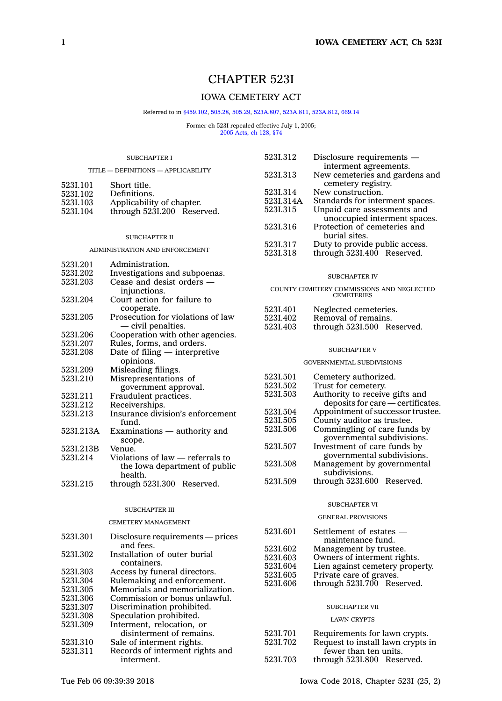# CHAPTER 523I

# IOWA CEMETERY ACT

#### Referred to in [§459.102](https://www.legis.iowa.gov/docs/code/459.102.pdf), [505.28](https://www.legis.iowa.gov/docs/code/505.28.pdf), [505.29](https://www.legis.iowa.gov/docs/code/505.29.pdf), [523A.807](https://www.legis.iowa.gov/docs/code/523A.807.pdf), [523A.811](https://www.legis.iowa.gov/docs/code/523A.811.pdf), [523A.812](https://www.legis.iowa.gov/docs/code/523A.812.pdf), [669.14](https://www.legis.iowa.gov/docs/code/669.14.pdf)

Former ch 523I repealed effective July 1, 2005; 2005 [Acts,](https://www.legis.iowa.gov/docs/acts/2005/CH0128.pdf) ch 128, §74

# SUBCHAPTER I TITLE — DEFINITIONS — APPLICABILITY 523I.101 Short title. 523I.102 Definitions. 523I.103 Applicability of chapter.<br>523I.104 through 523I.200 Reser through 523I.200 Reserved.

#### SUBCHAPTER II

#### ADMINISTRATION AND ENFORCEMENT

| 5231.201  | Administration.                   |  |  |
|-----------|-----------------------------------|--|--|
| 5231.202  | Investigations and subpoenas.     |  |  |
| 5231.203  | Cease and desist orders —         |  |  |
|           | injunctions.                      |  |  |
| 5231.204  | Court action for failure to       |  |  |
|           | cooperate.                        |  |  |
| 5231.205  | Prosecution for violations of law |  |  |
|           | — civil penalties.                |  |  |
| 5231.206  | Cooperation with other agencies.  |  |  |
| 5231.207  | Rules, forms, and orders.         |  |  |
| 5231.208  | Date of filing $-$ interpretive   |  |  |
|           | opinions.                         |  |  |
| 5231.209  | Misleading filings.               |  |  |
| 5231.210  | Misrepresentations of             |  |  |
|           | government approval.              |  |  |
| 5231.211  | Fraudulent practices.             |  |  |
| 5231.212  | Receiverships.                    |  |  |
| 5231.213  | Insurance division's enforcement  |  |  |
|           | fund.                             |  |  |
| 523I.213A | Examinations — authority and      |  |  |
|           | scope.                            |  |  |
| 523I.213B | Venue.                            |  |  |
| 5231.214  | Violations of law — referrals to  |  |  |
|           | the Iowa department of public     |  |  |
|           | health.                           |  |  |
| 5231.215  | through 523I.300 Reserved.        |  |  |

#### SUBCHAPTER III

#### CEMETERY MANAGEMENT

| 5231.301 | Disclosure requirements — prices |
|----------|----------------------------------|
|          | and fees.                        |
| 5231.302 | Installation of outer burial     |
|          | containers.                      |
| 5231.303 | Access by funeral directors.     |
| 5231.304 | Rulemaking and enforcement.      |
| 5231.305 | Memorials and memorialization.   |
| 5231.306 | Commission or bonus unlawful.    |
| 5231.307 | Discrimination prohibited.       |
| 523I.308 | Speculation prohibited.          |
| 5231.309 | Interment, relocation, or        |
|          | disinterment of remains.         |
| 5231.310 | Sale of interment rights.        |
| 5231.311 | Records of interment rights and  |
|          | interment.                       |

| 5231.312  | Disclosure requirements —       |
|-----------|---------------------------------|
|           | interment agreements.           |
| 5231.313  | New cemeteries and gardens and  |
|           | cemetery registry.              |
| 523I.314  | New construction.               |
| 523I.314A | Standards for interment spaces. |
| 5231.315  | Unpaid care assessments and     |
|           | unoccupied interment spaces.    |
| 5231.316  | Protection of cemeteries and    |
|           | burial sites.                   |
| 523I.317  | Duty to provide public access.  |
| 523I.318  | through 523I.400 Reserved.      |
|           |                                 |

#### SUBCHAPTER IV

#### COUNTY CEMETERY COMMISSIONS AND NEGLECTED **CEMETERIES** 523I.401 Neglected cemeteries.<br>523I.402 Removal of remains. Removal of remains.

| 0401.TV4 | Reflioval of Temaths.      |  |
|----------|----------------------------|--|
| 523I.403 | through 5231,500 Reserved. |  |

#### SUBCHAPTER V

#### GOVERNMENTAL SUBDIVISIONS

| Cemetery authorized.              |
|-----------------------------------|
| Trust for cemetery.               |
| Authority to receive gifts and    |
| deposits for care — certificates. |
| Appointment of successor trustee. |
| County auditor as trustee.        |
| Commingling of care funds by      |
| governmental subdivisions.        |
| Investment of care funds by       |
| governmental subdivisions.        |
| Management by governmental        |
| subdivisions.                     |
| through 523I.600 Reserved.        |
|                                   |

#### SUBCHAPTER VI

## GENERAL PROVISIONS

| maintenance fund.<br>5231.602<br>Management by trustee.<br>Owners of interment rights.<br>523I.603<br>5231.604<br>Private care of graves.<br>5231.605<br>523I.606 | 5231.601 | Settlement of estates —         |  |  |
|-------------------------------------------------------------------------------------------------------------------------------------------------------------------|----------|---------------------------------|--|--|
|                                                                                                                                                                   |          |                                 |  |  |
|                                                                                                                                                                   |          |                                 |  |  |
|                                                                                                                                                                   |          |                                 |  |  |
|                                                                                                                                                                   |          | Lien against cemetery property. |  |  |
|                                                                                                                                                                   |          |                                 |  |  |
|                                                                                                                                                                   |          | through 523I.700 Reserved.      |  |  |

#### SUBCHAPTER VII

#### LAWN CRYPTS

| 5231.701 | Requirements for lawn crypts.     |
|----------|-----------------------------------|
| 5231.702 | Request to install lawn crypts in |
|          | fewer than ten units.             |
| 5231.703 | through 523I.800 Reserved.        |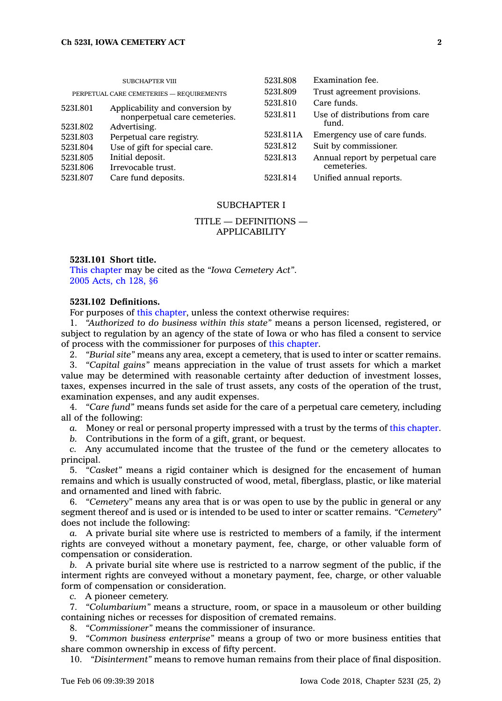| <b>SUBCHAPTER VIII</b> |                                                                  | 5231.808  | Examination fee.                        |
|------------------------|------------------------------------------------------------------|-----------|-----------------------------------------|
|                        | PERPETUAL CARE CEMETERIES - REQUIREMENTS                         | 5231.809  | Trust agreement provisions.             |
| 5231.801               |                                                                  | 5231.810  | Care funds.                             |
|                        | Applicability and conversion by<br>nonperpetual care cemeteries. | 523I.811  | Use of distributions from care<br>fund. |
| 5231.802               | Advertising.                                                     |           |                                         |
| 5231.803               | Perpetual care registry.                                         | 523I.811A | Emergency use of care funds.            |
| 523I.804               | Use of gift for special care.                                    | 523I.812  | Suit by commissioner.                   |
| 5231.805               | Initial deposit.                                                 | 523I.813  | Annual report by perpetual care         |
| 5231.806               | Irrevocable trust.                                               |           | cemeteries.                             |
| 523I.807               | Care fund deposits.                                              | 5231.814  | Unified annual reports.                 |
|                        |                                                                  |           |                                         |

#### SUBCHAPTER I

## TITLE — DEFINITIONS — APPLICABILITY

#### **523I.101 Short title.**

This [chapter](https://www.legis.iowa.gov/docs/code//523I.pdf) may be cited as the *"Iowa Cemetery Act"*. 2005 [Acts,](https://www.legis.iowa.gov/docs/acts/2005/CH0128.pdf) ch 128, §6

## **523I.102 Definitions.**

For purposes of this [chapter](https://www.legis.iowa.gov/docs/code//523I.pdf), unless the context otherwise requires:

1. *"Authorized to do business within this state"* means <sup>a</sup> person licensed, registered, or subject to regulation by an agency of the state of Iowa or who has filed <sup>a</sup> consent to service of process with the commissioner for purposes of this [chapter](https://www.legis.iowa.gov/docs/code//523I.pdf).

2. *"Burial site"* means any area, except <sup>a</sup> cemetery, that is used to inter or scatter remains.

3. *"Capital gains"* means appreciation in the value of trust assets for which <sup>a</sup> market value may be determined with reasonable certainty after deduction of investment losses, taxes, expenses incurred in the sale of trust assets, any costs of the operation of the trust, examination expenses, and any audit expenses.

4. *"Care fund"* means funds set aside for the care of <sup>a</sup> perpetual care cemetery, including all of the following:

*a.* Money or real or personal property impressed with <sup>a</sup> trust by the terms of this [chapter](https://www.legis.iowa.gov/docs/code//523I.pdf).

*b.* Contributions in the form of <sup>a</sup> gift, grant, or bequest.

*c.* Any accumulated income that the trustee of the fund or the cemetery allocates to principal.

5. *"Casket"* means <sup>a</sup> rigid container which is designed for the encasement of human remains and which is usually constructed of wood, metal, fiberglass, plastic, or like material and ornamented and lined with fabric.

6. *"Cemetery"* means any area that is or was open to use by the public in general or any segment thereof and is used or is intended to be used to inter or scatter remains. *"Cemetery"* does not include the following:

*a.* A private burial site where use is restricted to members of <sup>a</sup> family, if the interment rights are conveyed without <sup>a</sup> monetary payment, fee, charge, or other valuable form of compensation or consideration.

*b.* A private burial site where use is restricted to <sup>a</sup> narrow segment of the public, if the interment rights are conveyed without <sup>a</sup> monetary payment, fee, charge, or other valuable form of compensation or consideration.

*c.* A pioneer cemetery.

7. *"Columbarium"* means <sup>a</sup> structure, room, or space in <sup>a</sup> mausoleum or other building containing niches or recesses for disposition of cremated remains.

8. *"Commissioner"* means the commissioner of insurance.

9. *"Common business enterprise"* means <sup>a</sup> group of two or more business entities that share common ownership in excess of fifty percent.

10. *"Disinterment"* means to remove human remains from their place of final disposition.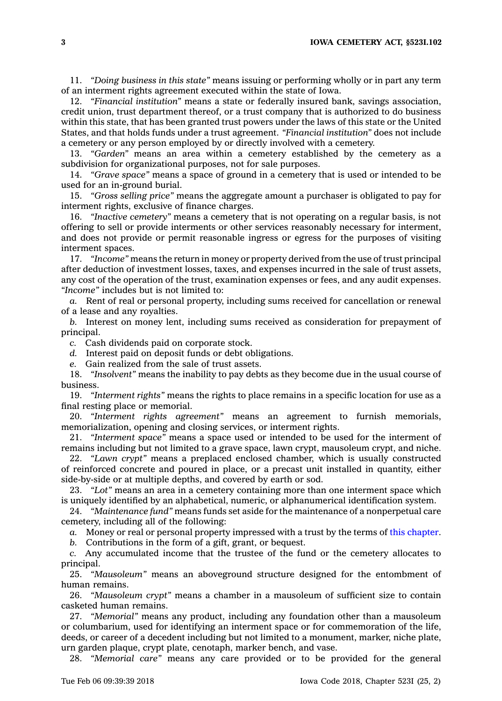**3 IOWA CEMETERY ACT, §523I.102**

11. *"Doing business in this state"* means issuing or performing wholly or in part any term of an interment rights agreement executed within the state of Iowa.

12. *"Financial institution"* means <sup>a</sup> state or federally insured bank, savings association, credit union, trust department thereof, or <sup>a</sup> trust company that is authorized to do business within this state, that has been granted trust powers under the laws of this state or the United States, and that holds funds under <sup>a</sup> trust agreement. *"Financial institution"* does not include <sup>a</sup> cemetery or any person employed by or directly involved with <sup>a</sup> cemetery.

13. *"Garden"* means an area within <sup>a</sup> cemetery established by the cemetery as <sup>a</sup> subdivision for organizational purposes, not for sale purposes.

14. *"Grave space"* means <sup>a</sup> space of ground in <sup>a</sup> cemetery that is used or intended to be used for an in-ground burial.

15. *"Gross selling price"* means the aggregate amount <sup>a</sup> purchaser is obligated to pay for interment rights, exclusive of finance charges.

16. *"Inactive cemetery"* means <sup>a</sup> cemetery that is not operating on <sup>a</sup> regular basis, is not offering to sell or provide interments or other services reasonably necessary for interment, and does not provide or permit reasonable ingress or egress for the purposes of visiting interment spaces.

17. *"Income"* means the return in money or property derived from the use of trust principal after deduction of investment losses, taxes, and expenses incurred in the sale of trust assets, any cost of the operation of the trust, examination expenses or fees, and any audit expenses. *"Income"* includes but is not limited to:

*a.* Rent of real or personal property, including sums received for cancellation or renewal of <sup>a</sup> lease and any royalties.

*b.* Interest on money lent, including sums received as consideration for prepayment of principal.

*c.* Cash dividends paid on corporate stock.

*d.* Interest paid on deposit funds or debt obligations.

*e.* Gain realized from the sale of trust assets.

18. *"Insolvent"* means the inability to pay debts as they become due in the usual course of business.

19. *"Interment rights"* means the rights to place remains in <sup>a</sup> specific location for use as <sup>a</sup> final resting place or memorial.

20. *"Interment rights agreement"* means an agreement to furnish memorials, memorialization, opening and closing services, or interment rights.

21. *"Interment space"* means <sup>a</sup> space used or intended to be used for the interment of remains including but not limited to <sup>a</sup> grave space, lawn crypt, mausoleum crypt, and niche.

22. *"Lawn crypt"* means <sup>a</sup> preplaced enclosed chamber, which is usually constructed of reinforced concrete and poured in place, or <sup>a</sup> precast unit installed in quantity, either side-by-side or at multiple depths, and covered by earth or sod.

23. *"Lot"* means an area in <sup>a</sup> cemetery containing more than one interment space which is uniquely identified by an alphabetical, numeric, or alphanumerical identification system.

24. *"Maintenance fund"* means funds set aside for the maintenance of <sup>a</sup> nonperpetual care cemetery, including all of the following:

*a.* Money or real or personal property impressed with <sup>a</sup> trust by the terms of this [chapter](https://www.legis.iowa.gov/docs/code//523I.pdf).

*b.* Contributions in the form of <sup>a</sup> gift, grant, or bequest.

*c.* Any accumulated income that the trustee of the fund or the cemetery allocates to principal.

25. *"Mausoleum"* means an aboveground structure designed for the entombment of human remains.

26. *"Mausoleum crypt"* means <sup>a</sup> chamber in <sup>a</sup> mausoleum of sufficient size to contain casketed human remains.

27. *"Memorial"* means any product, including any foundation other than <sup>a</sup> mausoleum or columbarium, used for identifying an interment space or for commemoration of the life, deeds, or career of <sup>a</sup> decedent including but not limited to <sup>a</sup> monument, marker, niche plate, urn garden plaque, crypt plate, cenotaph, marker bench, and vase.

28. *"Memorial care"* means any care provided or to be provided for the general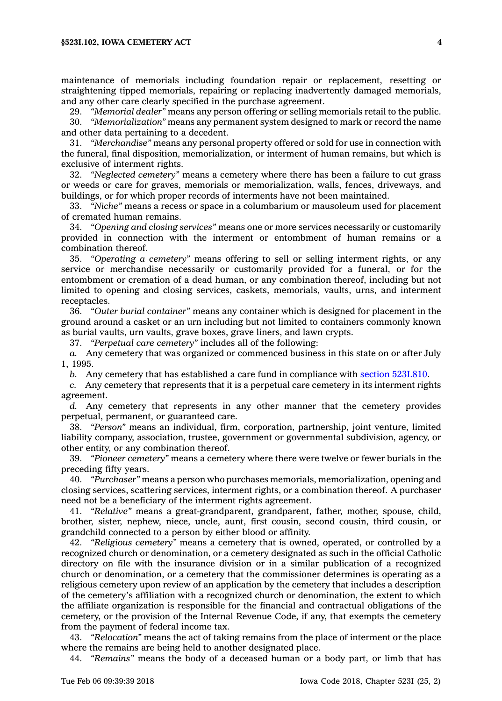maintenance of memorials including foundation repair or replacement, resetting or straightening tipped memorials, repairing or replacing inadvertently damaged memorials, and any other care clearly specified in the purchase agreement.

29. *"Memorial dealer"* means any person offering or selling memorials retail to the public.

30. *"Memorialization"* means any permanent system designed to mark or record the name and other data pertaining to <sup>a</sup> decedent.

31. *"Merchandise"* means any personal property offered or sold for use in connection with the funeral, final disposition, memorialization, or interment of human remains, but which is exclusive of interment rights.

32. *"Neglected cemetery"* means <sup>a</sup> cemetery where there has been <sup>a</sup> failure to cut grass or weeds or care for graves, memorials or memorialization, walls, fences, driveways, and buildings, or for which proper records of interments have not been maintained.

33. *"Niche"* means <sup>a</sup> recess or space in <sup>a</sup> columbarium or mausoleum used for placement of cremated human remains.

34. *"Opening and closing services"* means one or more services necessarily or customarily provided in connection with the interment or entombment of human remains or <sup>a</sup> combination thereof.

35. *"Operating <sup>a</sup> cemetery"* means offering to sell or selling interment rights, or any service or merchandise necessarily or customarily provided for <sup>a</sup> funeral, or for the entombment or cremation of <sup>a</sup> dead human, or any combination thereof, including but not limited to opening and closing services, caskets, memorials, vaults, urns, and interment receptacles.

36. *"Outer burial container"* means any container which is designed for placement in the ground around <sup>a</sup> casket or an urn including but not limited to containers commonly known as burial vaults, urn vaults, grave boxes, grave liners, and lawn crypts.

37. *"Perpetual care cemetery"* includes all of the following:

*a.* Any cemetery that was organized or commenced business in this state on or after July 1, 1995.

*b.* Any cemetery that has established <sup>a</sup> care fund in compliance with section [523I.810](https://www.legis.iowa.gov/docs/code/523I.810.pdf).

*c.* Any cemetery that represents that it is <sup>a</sup> perpetual care cemetery in its interment rights agreement.

*d.* Any cemetery that represents in any other manner that the cemetery provides perpetual, permanent, or guaranteed care.

38. *"Person"* means an individual, firm, corporation, partnership, joint venture, limited liability company, association, trustee, government or governmental subdivision, agency, or other entity, or any combination thereof.

39. *"Pioneer cemetery"* means <sup>a</sup> cemetery where there were twelve or fewer burials in the preceding fifty years.

40. *"Purchaser"* means <sup>a</sup> person who purchases memorials, memorialization, opening and closing services, scattering services, interment rights, or <sup>a</sup> combination thereof. A purchaser need not be <sup>a</sup> beneficiary of the interment rights agreement.

41. *"Relative"* means <sup>a</sup> great-grandparent, grandparent, father, mother, spouse, child, brother, sister, nephew, niece, uncle, aunt, first cousin, second cousin, third cousin, or grandchild connected to <sup>a</sup> person by either blood or affinity.

42. *"Religious cemetery"* means <sup>a</sup> cemetery that is owned, operated, or controlled by <sup>a</sup> recognized church or denomination, or <sup>a</sup> cemetery designated as such in the official Catholic directory on file with the insurance division or in <sup>a</sup> similar publication of <sup>a</sup> recognized church or denomination, or <sup>a</sup> cemetery that the commissioner determines is operating as <sup>a</sup> religious cemetery upon review of an application by the cemetery that includes <sup>a</sup> description of the cemetery's affiliation with <sup>a</sup> recognized church or denomination, the extent to which the affiliate organization is responsible for the financial and contractual obligations of the cemetery, or the provision of the Internal Revenue Code, if any, that exempts the cemetery from the payment of federal income tax.

43. *"Relocation"* means the act of taking remains from the place of interment or the place where the remains are being held to another designated place.

44. *"Remains"* means the body of <sup>a</sup> deceased human or <sup>a</sup> body part, or limb that has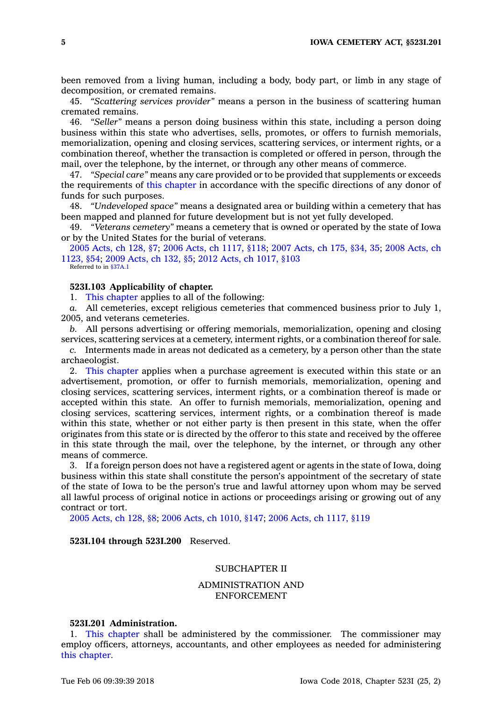been removed from <sup>a</sup> living human, including <sup>a</sup> body, body part, or limb in any stage of decomposition, or cremated remains.

45. *"Scattering services provider"* means <sup>a</sup> person in the business of scattering human cremated remains.

46. *"Seller"* means <sup>a</sup> person doing business within this state, including <sup>a</sup> person doing business within this state who advertises, sells, promotes, or offers to furnish memorials, memorialization, opening and closing services, scattering services, or interment rights, or <sup>a</sup> combination thereof, whether the transaction is completed or offered in person, through the mail, over the telephone, by the internet, or through any other means of commerce.

47. *"Special care"* means any care provided or to be provided that supplements or exceeds the requirements of this [chapter](https://www.legis.iowa.gov/docs/code//523I.pdf) in accordance with the specific directions of any donor of funds for such purposes.

48. *"Undeveloped space"* means <sup>a</sup> designated area or building within <sup>a</sup> cemetery that has been mapped and planned for future development but is not yet fully developed.

49. *"Veterans cemetery"* means <sup>a</sup> cemetery that is owned or operated by the state of Iowa or by the United States for the burial of veterans.

2005 [Acts,](https://www.legis.iowa.gov/docs/acts/2005/CH0128.pdf) ch 128, §7; 2006 Acts, ch [1117,](https://www.legis.iowa.gov/docs/acts/2006/CH1117.pdf) §118; 2007 [Acts,](https://www.legis.iowa.gov/docs/acts/2007/CH0175.pdf) ch 175, §34, 35; 2008 [Acts,](https://www.legis.iowa.gov/docs/acts/2008/CH1123.pdf) ch [1123,](https://www.legis.iowa.gov/docs/acts/2008/CH1123.pdf) §54; 2009 [Acts,](https://www.legis.iowa.gov/docs/acts/2009/CH0132.pdf) ch 132, §5; 2012 Acts, ch [1017,](https://www.legis.iowa.gov/docs/acts/2012/CH1017.pdf) §103 Referred to in [§37A.1](https://www.legis.iowa.gov/docs/code/37A.1.pdf)

# **523I.103 Applicability of chapter.**

1. This [chapter](https://www.legis.iowa.gov/docs/code//523I.pdf) applies to all of the following:

*a.* All cemeteries, except religious cemeteries that commenced business prior to July 1, 2005, and veterans cemeteries.

*b.* All persons advertising or offering memorials, memorialization, opening and closing services, scattering services at <sup>a</sup> cemetery, interment rights, or <sup>a</sup> combination thereof for sale.

*c.* Interments made in areas not dedicated as <sup>a</sup> cemetery, by <sup>a</sup> person other than the state archaeologist.

2. This [chapter](https://www.legis.iowa.gov/docs/code//523I.pdf) applies when <sup>a</sup> purchase agreement is executed within this state or an advertisement, promotion, or offer to furnish memorials, memorialization, opening and closing services, scattering services, interment rights, or <sup>a</sup> combination thereof is made or accepted within this state. An offer to furnish memorials, memorialization, opening and closing services, scattering services, interment rights, or <sup>a</sup> combination thereof is made within this state, whether or not either party is then present in this state, when the offer originates from this state or is directed by the offeror to this state and received by the offeree in this state through the mail, over the telephone, by the internet, or through any other means of commerce.

3. If <sup>a</sup> foreign person does not have <sup>a</sup> registered agent or agents in the state of Iowa, doing business within this state shall constitute the person's appointment of the secretary of state of the state of Iowa to be the person's true and lawful attorney upon whom may be served all lawful process of original notice in actions or proceedings arising or growing out of any contract or tort.

2005 [Acts,](https://www.legis.iowa.gov/docs/acts/2005/CH0128.pdf) ch 128, §8; 2006 Acts, ch [1010,](https://www.legis.iowa.gov/docs/acts/2006/CH1010.pdf) §147; 2006 Acts, ch [1117,](https://www.legis.iowa.gov/docs/acts/2006/CH1117.pdf) §119

**523I.104 through 523I.200** Reserved.

# SUBCHAPTER II

# ADMINISTRATION AND ENFORCEMENT

#### **523I.201 Administration.**

1. This [chapter](https://www.legis.iowa.gov/docs/code//523I.pdf) shall be administered by the commissioner. The commissioner may employ officers, attorneys, accountants, and other employees as needed for administering this [chapter](https://www.legis.iowa.gov/docs/code//523I.pdf).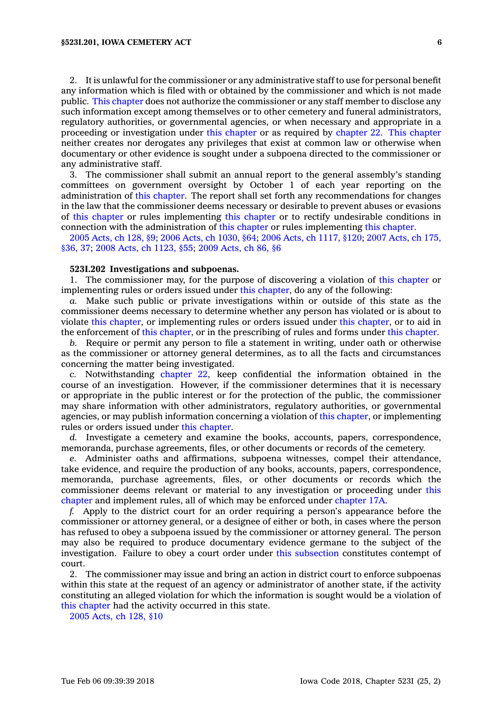2. It is unlawful for the commissioner or any administrative staff to use for personal benefit any information which is filed with or obtained by the commissioner and which is not made public. This [chapter](https://www.legis.iowa.gov/docs/code//523I.pdf) does not authorize the commissioner or any staff member to disclose any such information except among themselves or to other cemetery and funeral administrators, regulatory authorities, or governmental agencies, or when necessary and appropriate in <sup>a</sup> proceeding or investigation under this [chapter](https://www.legis.iowa.gov/docs/code//523I.pdf) or as required by [chapter](https://www.legis.iowa.gov/docs/code//22.pdf) 22. This [chapter](https://www.legis.iowa.gov/docs/code//523I.pdf) neither creates nor derogates any privileges that exist at common law or otherwise when documentary or other evidence is sought under <sup>a</sup> subpoena directed to the commissioner or any administrative staff.

3. The commissioner shall submit an annual report to the general assembly's standing committees on government oversight by October 1 of each year reporting on the administration of this [chapter](https://www.legis.iowa.gov/docs/code//523I.pdf). The report shall set forth any recommendations for changes in the law that the commissioner deems necessary or desirable to prevent abuses or evasions of this [chapter](https://www.legis.iowa.gov/docs/code//523I.pdf) or rules implementing this [chapter](https://www.legis.iowa.gov/docs/code//523I.pdf) or to rectify undesirable conditions in connection with the administration of this [chapter](https://www.legis.iowa.gov/docs/code//523I.pdf) or rules implementing this [chapter](https://www.legis.iowa.gov/docs/code//523I.pdf).

2005 [Acts,](https://www.legis.iowa.gov/docs/acts/2005/CH0128.pdf) ch 128, §9; 2006 Acts, ch [1030,](https://www.legis.iowa.gov/docs/acts/2006/CH1030.pdf) §64; 2006 Acts, ch [1117,](https://www.legis.iowa.gov/docs/acts/2006/CH1117.pdf) §120; 2007 [Acts,](https://www.legis.iowa.gov/docs/acts/2007/CH0175.pdf) ch 175, [§36,](https://www.legis.iowa.gov/docs/acts/2007/CH0175.pdf) 37; 2008 Acts, ch [1123,](https://www.legis.iowa.gov/docs/acts/2008/CH1123.pdf) §55; 2009 [Acts,](https://www.legis.iowa.gov/docs/acts/2009/CH0086.pdf) ch 86, §6

## **523I.202 Investigations and subpoenas.**

1. The commissioner may, for the purpose of discovering <sup>a</sup> violation of this [chapter](https://www.legis.iowa.gov/docs/code//523I.pdf) or implementing rules or orders issued under this [chapter](https://www.legis.iowa.gov/docs/code//523I.pdf), do any of the following:

*a.* Make such public or private investigations within or outside of this state as the commissioner deems necessary to determine whether any person has violated or is about to violate this [chapter](https://www.legis.iowa.gov/docs/code//523I.pdf), or implementing rules or orders issued under this [chapter](https://www.legis.iowa.gov/docs/code//523I.pdf), or to aid in the enforcement of this [chapter](https://www.legis.iowa.gov/docs/code//523I.pdf), or in the prescribing of rules and forms under this [chapter](https://www.legis.iowa.gov/docs/code//523I.pdf).

*b.* Require or permit any person to file <sup>a</sup> statement in writing, under oath or otherwise as the commissioner or attorney general determines, as to all the facts and circumstances concerning the matter being investigated.

*c.* Notwithstanding [chapter](https://www.legis.iowa.gov/docs/code//22.pdf) 22, keep confidential the information obtained in the course of an investigation. However, if the commissioner determines that it is necessary or appropriate in the public interest or for the protection of the public, the commissioner may share information with other administrators, regulatory authorities, or governmental agencies, or may publish information concerning <sup>a</sup> violation of this [chapter](https://www.legis.iowa.gov/docs/code//523I.pdf), or implementing rules or orders issued under this [chapter](https://www.legis.iowa.gov/docs/code//523I.pdf).

*d.* Investigate <sup>a</sup> cemetery and examine the books, accounts, papers, correspondence, memoranda, purchase agreements, files, or other documents or records of the cemetery.

*e.* Administer oaths and affirmations, subpoena witnesses, compel their attendance, take evidence, and require the production of any books, accounts, papers, correspondence, memoranda, purchase agreements, files, or other documents or records which the commissioner deems relevant or material to any investigation or proceeding under [this](https://www.legis.iowa.gov/docs/code//523I.pdf) [chapter](https://www.legis.iowa.gov/docs/code//523I.pdf) and implement rules, all of which may be enforced under [chapter](https://www.legis.iowa.gov/docs/code//17A.pdf) 17A.

*f.* Apply to the district court for an order requiring <sup>a</sup> person's appearance before the commissioner or attorney general, or <sup>a</sup> designee of either or both, in cases where the person has refused to obey <sup>a</sup> subpoena issued by the commissioner or attorney general. The person may also be required to produce documentary evidence germane to the subject of the investigation. Failure to obey <sup>a</sup> court order under this [subsection](https://www.legis.iowa.gov/docs/code/523I.202.pdf) constitutes contempt of court.

2. The commissioner may issue and bring an action in district court to enforce subpoenas within this state at the request of an agency or administrator of another state, if the activity constituting an alleged violation for which the information is sought would be <sup>a</sup> violation of this [chapter](https://www.legis.iowa.gov/docs/code//523I.pdf) had the activity occurred in this state.

2005 [Acts,](https://www.legis.iowa.gov/docs/acts/2005/CH0128.pdf) ch 128, §10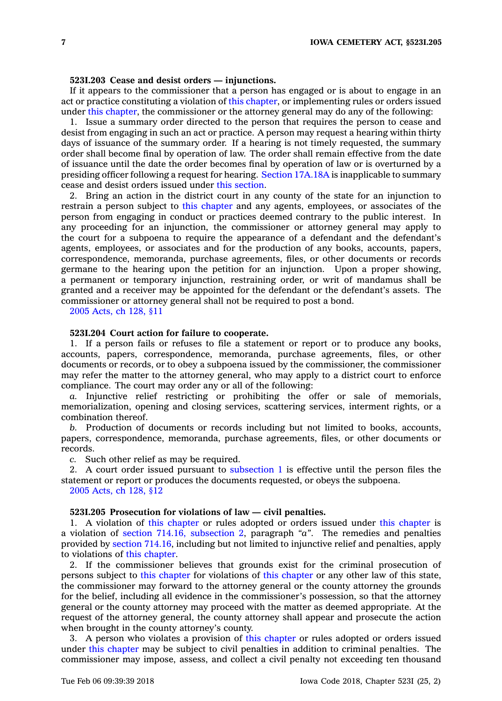#### **523I.203 Cease and desist orders — injunctions.**

If it appears to the commissioner that <sup>a</sup> person has engaged or is about to engage in an act or practice constituting <sup>a</sup> violation of this [chapter](https://www.legis.iowa.gov/docs/code//523I.pdf), or implementing rules or orders issued under this [chapter](https://www.legis.iowa.gov/docs/code//523I.pdf), the commissioner or the attorney general may do any of the following:

1. Issue <sup>a</sup> summary order directed to the person that requires the person to cease and desist from engaging in such an act or practice. A person may request <sup>a</sup> hearing within thirty days of issuance of the summary order. If <sup>a</sup> hearing is not timely requested, the summary order shall become final by operation of law. The order shall remain effective from the date of issuance until the date the order becomes final by operation of law or is overturned by <sup>a</sup> presiding officer following <sup>a</sup> request for hearing. Section [17A.18A](https://www.legis.iowa.gov/docs/code/17A.18A.pdf) is inapplicable to summary cease and desist orders issued under this [section](https://www.legis.iowa.gov/docs/code/523I.203.pdf).

2. Bring an action in the district court in any county of the state for an injunction to restrain <sup>a</sup> person subject to this [chapter](https://www.legis.iowa.gov/docs/code//523I.pdf) and any agents, employees, or associates of the person from engaging in conduct or practices deemed contrary to the public interest. In any proceeding for an injunction, the commissioner or attorney general may apply to the court for <sup>a</sup> subpoena to require the appearance of <sup>a</sup> defendant and the defendant's agents, employees, or associates and for the production of any books, accounts, papers, correspondence, memoranda, purchase agreements, files, or other documents or records germane to the hearing upon the petition for an injunction. Upon <sup>a</sup> proper showing, <sup>a</sup> permanent or temporary injunction, restraining order, or writ of mandamus shall be granted and <sup>a</sup> receiver may be appointed for the defendant or the defendant's assets. The commissioner or attorney general shall not be required to post <sup>a</sup> bond.

2005 [Acts,](https://www.legis.iowa.gov/docs/acts/2005/CH0128.pdf) ch 128, §11

## **523I.204 Court action for failure to cooperate.**

1. If <sup>a</sup> person fails or refuses to file <sup>a</sup> statement or report or to produce any books, accounts, papers, correspondence, memoranda, purchase agreements, files, or other documents or records, or to obey <sup>a</sup> subpoena issued by the commissioner, the commissioner may refer the matter to the attorney general, who may apply to <sup>a</sup> district court to enforce compliance. The court may order any or all of the following:

*a.* Injunctive relief restricting or prohibiting the offer or sale of memorials, memorialization, opening and closing services, scattering services, interment rights, or <sup>a</sup> combination thereof.

*b.* Production of documents or records including but not limited to books, accounts, papers, correspondence, memoranda, purchase agreements, files, or other documents or records.

*c.* Such other relief as may be required.

2. A court order issued pursuant to [subsection](https://www.legis.iowa.gov/docs/code/523I.204.pdf) 1 is effective until the person files the statement or report or produces the documents requested, or obeys the subpoena. 2005 [Acts,](https://www.legis.iowa.gov/docs/acts/2005/CH0128.pdf) ch 128, §12

#### **523I.205 Prosecution for violations of law — civil penalties.**

1. A violation of this [chapter](https://www.legis.iowa.gov/docs/code//523I.pdf) or rules adopted or orders issued under this [chapter](https://www.legis.iowa.gov/docs/code//523I.pdf) is <sup>a</sup> violation of section 714.16, [subsection](https://www.legis.iowa.gov/docs/code/714.16.pdf) 2, paragraph *"a"*. The remedies and penalties provided by section [714.16](https://www.legis.iowa.gov/docs/code/714.16.pdf), including but not limited to injunctive relief and penalties, apply to violations of this [chapter](https://www.legis.iowa.gov/docs/code//523I.pdf).

2. If the commissioner believes that grounds exist for the criminal prosecution of persons subject to this [chapter](https://www.legis.iowa.gov/docs/code//523I.pdf) for violations of this [chapter](https://www.legis.iowa.gov/docs/code//523I.pdf) or any other law of this state, the commissioner may forward to the attorney general or the county attorney the grounds for the belief, including all evidence in the commissioner's possession, so that the attorney general or the county attorney may proceed with the matter as deemed appropriate. At the request of the attorney general, the county attorney shall appear and prosecute the action when brought in the county attorney's county.

3. A person who violates <sup>a</sup> provision of this [chapter](https://www.legis.iowa.gov/docs/code//523I.pdf) or rules adopted or orders issued under this [chapter](https://www.legis.iowa.gov/docs/code//523I.pdf) may be subject to civil penalties in addition to criminal penalties. The commissioner may impose, assess, and collect <sup>a</sup> civil penalty not exceeding ten thousand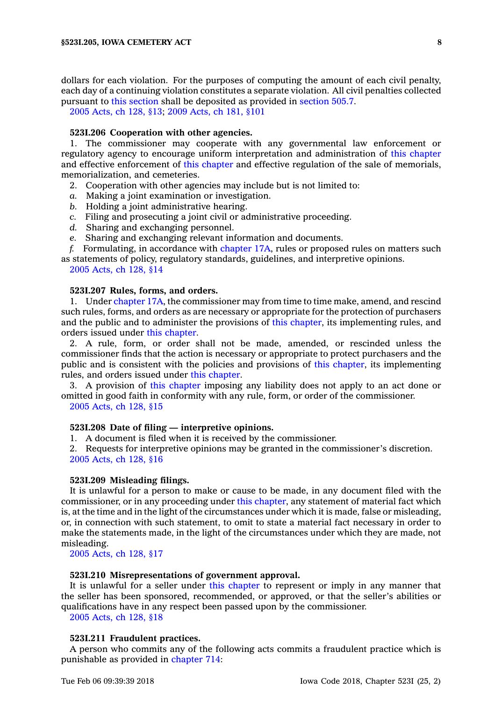dollars for each violation. For the purposes of computing the amount of each civil penalty, each day of <sup>a</sup> continuing violation constitutes <sup>a</sup> separate violation. All civil penalties collected pursuant to this [section](https://www.legis.iowa.gov/docs/code/523I.205.pdf) shall be deposited as provided in [section](https://www.legis.iowa.gov/docs/code/505.7.pdf) 505.7.

2005 [Acts,](https://www.legis.iowa.gov/docs/acts/2005/CH0128.pdf) ch 128, §13; 2009 [Acts,](https://www.legis.iowa.gov/docs/acts/2009/CH0181.pdf) ch 181, §101

#### **523I.206 Cooperation with other agencies.**

1. The commissioner may cooperate with any governmental law enforcement or regulatory agency to encourage uniform interpretation and administration of this [chapter](https://www.legis.iowa.gov/docs/code//523I.pdf) and effective enforcement of this [chapter](https://www.legis.iowa.gov/docs/code//523I.pdf) and effective regulation of the sale of memorials, memorialization, and cemeteries.

- 2. Cooperation with other agencies may include but is not limited to:
- *a.* Making <sup>a</sup> joint examination or investigation.
- *b.* Holding <sup>a</sup> joint administrative hearing.
- *c.* Filing and prosecuting <sup>a</sup> joint civil or administrative proceeding.
- *d.* Sharing and exchanging personnel.
- *e.* Sharing and exchanging relevant information and documents.

*f.* Formulating, in accordance with [chapter](https://www.legis.iowa.gov/docs/code//17A.pdf) 17A, rules or proposed rules on matters such as statements of policy, regulatory standards, guidelines, and interpretive opinions.

2005 [Acts,](https://www.legis.iowa.gov/docs/acts/2005/CH0128.pdf) ch 128, §14

# **523I.207 Rules, forms, and orders.**

1. Under [chapter](https://www.legis.iowa.gov/docs/code//17A.pdf) 17A, the commissioner may from time to time make, amend, and rescind such rules, forms, and orders as are necessary or appropriate for the protection of purchasers and the public and to administer the provisions of this [chapter](https://www.legis.iowa.gov/docs/code//523I.pdf), its implementing rules, and orders issued under this [chapter](https://www.legis.iowa.gov/docs/code//523I.pdf).

2. A rule, form, or order shall not be made, amended, or rescinded unless the commissioner finds that the action is necessary or appropriate to protect purchasers and the public and is consistent with the policies and provisions of this [chapter](https://www.legis.iowa.gov/docs/code//523I.pdf), its implementing rules, and orders issued under this [chapter](https://www.legis.iowa.gov/docs/code//523I.pdf).

3. A provision of this [chapter](https://www.legis.iowa.gov/docs/code//523I.pdf) imposing any liability does not apply to an act done or omitted in good faith in conformity with any rule, form, or order of the commissioner.

2005 [Acts,](https://www.legis.iowa.gov/docs/acts/2005/CH0128.pdf) ch 128, §15

## **523I.208 Date of filing — interpretive opinions.**

1. A document is filed when it is received by the commissioner.

2. Requests for interpretive opinions may be granted in the commissioner's discretion. 2005 [Acts,](https://www.legis.iowa.gov/docs/acts/2005/CH0128.pdf) ch 128, §16

#### **523I.209 Misleading filings.**

It is unlawful for <sup>a</sup> person to make or cause to be made, in any document filed with the commissioner, or in any proceeding under this [chapter](https://www.legis.iowa.gov/docs/code//523I.pdf), any statement of material fact which is, at the time and in the light of the circumstances under which it is made, false or misleading, or, in connection with such statement, to omit to state <sup>a</sup> material fact necessary in order to make the statements made, in the light of the circumstances under which they are made, not misleading.

2005 [Acts,](https://www.legis.iowa.gov/docs/acts/2005/CH0128.pdf) ch 128, §17

## **523I.210 Misrepresentations of government approval.**

It is unlawful for <sup>a</sup> seller under this [chapter](https://www.legis.iowa.gov/docs/code//523I.pdf) to represent or imply in any manner that the seller has been sponsored, recommended, or approved, or that the seller's abilities or qualifications have in any respect been passed upon by the commissioner.

2005 [Acts,](https://www.legis.iowa.gov/docs/acts/2005/CH0128.pdf) ch 128, §18

## **523I.211 Fraudulent practices.**

A person who commits any of the following acts commits <sup>a</sup> fraudulent practice which is punishable as provided in [chapter](https://www.legis.iowa.gov/docs/code//714.pdf) 714: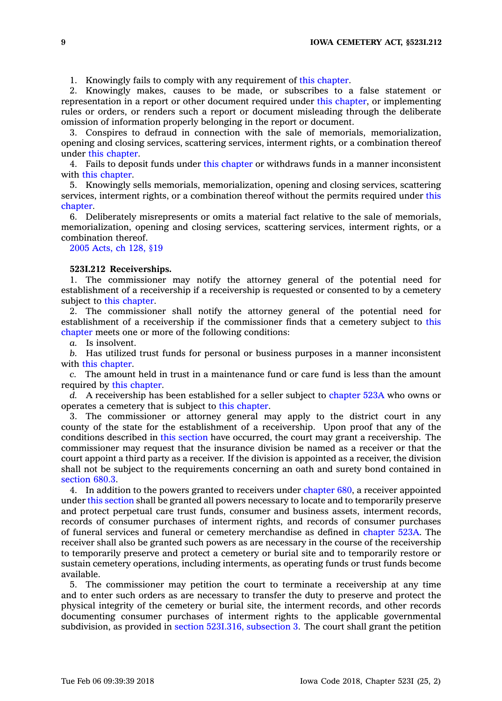1. Knowingly fails to comply with any requirement of this [chapter](https://www.legis.iowa.gov/docs/code//523I.pdf).

2. Knowingly makes, causes to be made, or subscribes to <sup>a</sup> false statement or representation in <sup>a</sup> report or other document required under this [chapter](https://www.legis.iowa.gov/docs/code//523I.pdf), or implementing rules or orders, or renders such <sup>a</sup> report or document misleading through the deliberate omission of information properly belonging in the report or document.

3. Conspires to defraud in connection with the sale of memorials, memorialization, opening and closing services, scattering services, interment rights, or <sup>a</sup> combination thereof under this [chapter](https://www.legis.iowa.gov/docs/code//523I.pdf).

4. Fails to deposit funds under this [chapter](https://www.legis.iowa.gov/docs/code//523I.pdf) or withdraws funds in <sup>a</sup> manner inconsistent with this [chapter](https://www.legis.iowa.gov/docs/code//523I.pdf).

5. Knowingly sells memorials, memorialization, opening and closing services, scattering services, interment rights, or <sup>a</sup> combination thereof without the permits required under [this](https://www.legis.iowa.gov/docs/code//523I.pdf) [chapter](https://www.legis.iowa.gov/docs/code//523I.pdf).

6. Deliberately misrepresents or omits <sup>a</sup> material fact relative to the sale of memorials, memorialization, opening and closing services, scattering services, interment rights, or <sup>a</sup> combination thereof.

2005 [Acts,](https://www.legis.iowa.gov/docs/acts/2005/CH0128.pdf) ch 128, §19

## **523I.212 Receiverships.**

1. The commissioner may notify the attorney general of the potential need for establishment of <sup>a</sup> receivership if <sup>a</sup> receivership is requested or consented to by <sup>a</sup> cemetery subject to this [chapter](https://www.legis.iowa.gov/docs/code//523I.pdf).

2. The commissioner shall notify the attorney general of the potential need for establishment of <sup>a</sup> receivership if the commissioner finds that <sup>a</sup> cemetery subject to [this](https://www.legis.iowa.gov/docs/code//523I.pdf) [chapter](https://www.legis.iowa.gov/docs/code//523I.pdf) meets one or more of the following conditions:

*a.* Is insolvent.

*b.* Has utilized trust funds for personal or business purposes in <sup>a</sup> manner inconsistent with this [chapter](https://www.legis.iowa.gov/docs/code//523I.pdf).

*c.* The amount held in trust in <sup>a</sup> maintenance fund or care fund is less than the amount required by this [chapter](https://www.legis.iowa.gov/docs/code//523I.pdf).

*d.* A receivership has been established for <sup>a</sup> seller subject to [chapter](https://www.legis.iowa.gov/docs/code//523A.pdf) 523A who owns or operates <sup>a</sup> cemetery that is subject to this [chapter](https://www.legis.iowa.gov/docs/code//523I.pdf).

3. The commissioner or attorney general may apply to the district court in any county of the state for the establishment of <sup>a</sup> receivership. Upon proof that any of the conditions described in this [section](https://www.legis.iowa.gov/docs/code/523I.212.pdf) have occurred, the court may grant <sup>a</sup> receivership. The commissioner may request that the insurance division be named as <sup>a</sup> receiver or that the court appoint <sup>a</sup> third party as <sup>a</sup> receiver. If the division is appointed as <sup>a</sup> receiver, the division shall not be subject to the requirements concerning an oath and surety bond contained in [section](https://www.legis.iowa.gov/docs/code/680.3.pdf) 680.3.

4. In addition to the powers granted to receivers under [chapter](https://www.legis.iowa.gov/docs/code//680.pdf) 680, <sup>a</sup> receiver appointed under this [section](https://www.legis.iowa.gov/docs/code/523I.212.pdf) shall be granted all powers necessary to locate and to temporarily preserve and protect perpetual care trust funds, consumer and business assets, interment records, records of consumer purchases of interment rights, and records of consumer purchases of funeral services and funeral or cemetery merchandise as defined in [chapter](https://www.legis.iowa.gov/docs/code//523A.pdf) 523A. The receiver shall also be granted such powers as are necessary in the course of the receivership to temporarily preserve and protect <sup>a</sup> cemetery or burial site and to temporarily restore or sustain cemetery operations, including interments, as operating funds or trust funds become available.

5. The commissioner may petition the court to terminate <sup>a</sup> receivership at any time and to enter such orders as are necessary to transfer the duty to preserve and protect the physical integrity of the cemetery or burial site, the interment records, and other records documenting consumer purchases of interment rights to the applicable governmental subdivision, as provided in section [523I.316,](https://www.legis.iowa.gov/docs/code/523I.316.pdf) subsection 3. The court shall grant the petition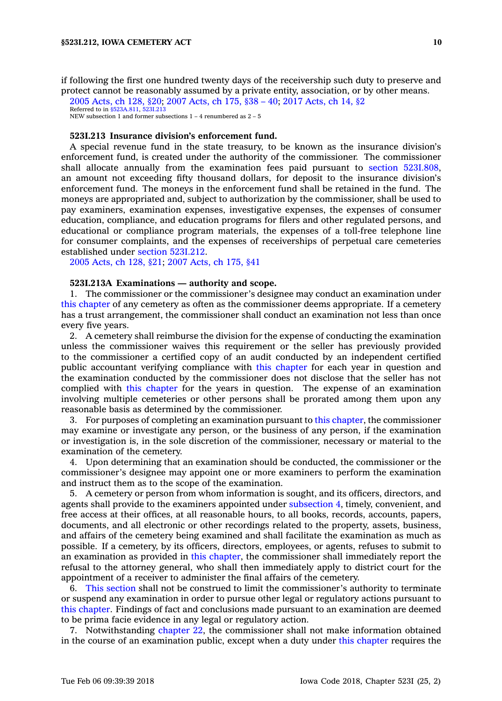if following the first one hundred twenty days of the receivership such duty to preserve and protect cannot be reasonably assumed by <sup>a</sup> private entity, association, or by other means.

2005 [Acts,](https://www.legis.iowa.gov/docs/acts/2005/CH0128.pdf) ch 128, §20; 2007 [Acts,](https://www.legis.iowa.gov/docs/acts/2007/CH0175.pdf) ch 175, §38 – 40; 2017 [Acts,](https://www.legis.iowa.gov/docs/acts/2017/CH0014.pdf) ch 14, §2 Referred to in [§523A.811](https://www.legis.iowa.gov/docs/code/523A.811.pdf), [523I.213](https://www.legis.iowa.gov/docs/code/523I.213.pdf) NEW subsection 1 and former subsections  $1 - 4$  renumbered as  $2 - 5$ 

#### **523I.213 Insurance division's enforcement fund.**

A special revenue fund in the state treasury, to be known as the insurance division's enforcement fund, is created under the authority of the commissioner. The commissioner shall allocate annually from the examination fees paid pursuant to section [523I.808](https://www.legis.iowa.gov/docs/code/523I.808.pdf), an amount not exceeding fifty thousand dollars, for deposit to the insurance division's enforcement fund. The moneys in the enforcement fund shall be retained in the fund. The moneys are appropriated and, subject to authorization by the commissioner, shall be used to pay examiners, examination expenses, investigative expenses, the expenses of consumer education, compliance, and education programs for filers and other regulated persons, and educational or compliance program materials, the expenses of <sup>a</sup> toll-free telephone line for consumer complaints, and the expenses of receiverships of perpetual care cemeteries established under section [523I.212](https://www.legis.iowa.gov/docs/code/523I.212.pdf).

2005 [Acts,](https://www.legis.iowa.gov/docs/acts/2005/CH0128.pdf) ch 128, §21; 2007 [Acts,](https://www.legis.iowa.gov/docs/acts/2007/CH0175.pdf) ch 175, §41

#### **523I.213A Examinations — authority and scope.**

1. The commissioner or the commissioner's designee may conduct an examination under this [chapter](https://www.legis.iowa.gov/docs/code//523I.pdf) of any cemetery as often as the commissioner deems appropriate. If <sup>a</sup> cemetery has <sup>a</sup> trust arrangement, the commissioner shall conduct an examination not less than once every five years.

2. A cemetery shall reimburse the division for the expense of conducting the examination unless the commissioner waives this requirement or the seller has previously provided to the commissioner <sup>a</sup> certified copy of an audit conducted by an independent certified public accountant verifying compliance with this [chapter](https://www.legis.iowa.gov/docs/code//523I.pdf) for each year in question and the examination conducted by the commissioner does not disclose that the seller has not complied with this [chapter](https://www.legis.iowa.gov/docs/code//523I.pdf) for the years in question. The expense of an examination involving multiple cemeteries or other persons shall be prorated among them upon any reasonable basis as determined by the commissioner.

3. For purposes of completing an examination pursuant to this [chapter](https://www.legis.iowa.gov/docs/code//523I.pdf), the commissioner may examine or investigate any person, or the business of any person, if the examination or investigation is, in the sole discretion of the commissioner, necessary or material to the examination of the cemetery.

4. Upon determining that an examination should be conducted, the commissioner or the commissioner's designee may appoint one or more examiners to perform the examination and instruct them as to the scope of the examination.

5. A cemetery or person from whom information is sought, and its officers, directors, and agents shall provide to the examiners appointed under [subsection](https://www.legis.iowa.gov/docs/code/523I.213A.pdf) 4, timely, convenient, and free access at their offices, at all reasonable hours, to all books, records, accounts, papers, documents, and all electronic or other recordings related to the property, assets, business, and affairs of the cemetery being examined and shall facilitate the examination as much as possible. If <sup>a</sup> cemetery, by its officers, directors, employees, or agents, refuses to submit to an examination as provided in this [chapter](https://www.legis.iowa.gov/docs/code//523I.pdf), the commissioner shall immediately report the refusal to the attorney general, who shall then immediately apply to district court for the appointment of <sup>a</sup> receiver to administer the final affairs of the cemetery.

6. This [section](https://www.legis.iowa.gov/docs/code/523I.213A.pdf) shall not be construed to limit the commissioner's authority to terminate or suspend any examination in order to pursue other legal or regulatory actions pursuant to this [chapter](https://www.legis.iowa.gov/docs/code//523I.pdf). Findings of fact and conclusions made pursuant to an examination are deemed to be prima facie evidence in any legal or regulatory action.

7. Notwithstanding [chapter](https://www.legis.iowa.gov/docs/code//22.pdf) 22, the commissioner shall not make information obtained in the course of an examination public, except when <sup>a</sup> duty under this [chapter](https://www.legis.iowa.gov/docs/code//523I.pdf) requires the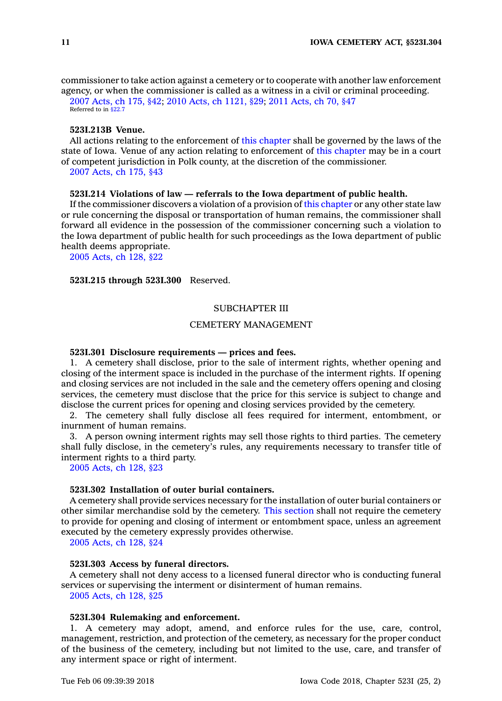commissioner to take action against <sup>a</sup> cemetery or to cooperate with another law enforcement agency, or when the commissioner is called as <sup>a</sup> witness in <sup>a</sup> civil or criminal proceeding.

2007 [Acts,](https://www.legis.iowa.gov/docs/acts/2007/CH0175.pdf) ch 175, §42; 2010 Acts, ch [1121,](https://www.legis.iowa.gov/docs/acts/2010/CH1121.pdf) §29; 2011 [Acts,](https://www.legis.iowa.gov/docs/acts/2011/CH0070.pdf) ch 70, §47 Referred to in \$22.7

## **523I.213B Venue.**

All actions relating to the enforcement of this [chapter](https://www.legis.iowa.gov/docs/code//523I.pdf) shall be governed by the laws of the state of Iowa. Venue of any action relating to enforcement of this [chapter](https://www.legis.iowa.gov/docs/code//523I.pdf) may be in <sup>a</sup> court of competent jurisdiction in Polk county, at the discretion of the commissioner. 2007 [Acts,](https://www.legis.iowa.gov/docs/acts/2007/CH0175.pdf) ch 175, §43

#### **523I.214 Violations of law — referrals to the Iowa department of public health.**

If the commissioner discovers <sup>a</sup> violation of <sup>a</sup> provision of this [chapter](https://www.legis.iowa.gov/docs/code//523I.pdf) or any other state law or rule concerning the disposal or transportation of human remains, the commissioner shall forward all evidence in the possession of the commissioner concerning such <sup>a</sup> violation to the Iowa department of public health for such proceedings as the Iowa department of public health deems appropriate.

2005 [Acts,](https://www.legis.iowa.gov/docs/acts/2005/CH0128.pdf) ch 128, §22

## **523I.215 through 523I.300** Reserved.

## SUBCHAPTER III

# CEMETERY MANAGEMENT

#### **523I.301 Disclosure requirements — prices and fees.**

1. A cemetery shall disclose, prior to the sale of interment rights, whether opening and closing of the interment space is included in the purchase of the interment rights. If opening and closing services are not included in the sale and the cemetery offers opening and closing services, the cemetery must disclose that the price for this service is subject to change and disclose the current prices for opening and closing services provided by the cemetery.

2. The cemetery shall fully disclose all fees required for interment, entombment, or inurnment of human remains.

3. A person owning interment rights may sell those rights to third parties. The cemetery shall fully disclose, in the cemetery's rules, any requirements necessary to transfer title of interment rights to <sup>a</sup> third party.

2005 [Acts,](https://www.legis.iowa.gov/docs/acts/2005/CH0128.pdf) ch 128, §23

## **523I.302 Installation of outer burial containers.**

A cemetery shall provide services necessary for the installation of outer burial containers or other similar merchandise sold by the cemetery. This [section](https://www.legis.iowa.gov/docs/code/523I.302.pdf) shall not require the cemetery to provide for opening and closing of interment or entombment space, unless an agreement executed by the cemetery expressly provides otherwise.

2005 [Acts,](https://www.legis.iowa.gov/docs/acts/2005/CH0128.pdf) ch 128, §24

#### **523I.303 Access by funeral directors.**

A cemetery shall not deny access to <sup>a</sup> licensed funeral director who is conducting funeral services or supervising the interment or disinterment of human remains. 2005 [Acts,](https://www.legis.iowa.gov/docs/acts/2005/CH0128.pdf) ch 128, §25

## **523I.304 Rulemaking and enforcement.**

1. A cemetery may adopt, amend, and enforce rules for the use, care, control, management, restriction, and protection of the cemetery, as necessary for the proper conduct of the business of the cemetery, including but not limited to the use, care, and transfer of any interment space or right of interment.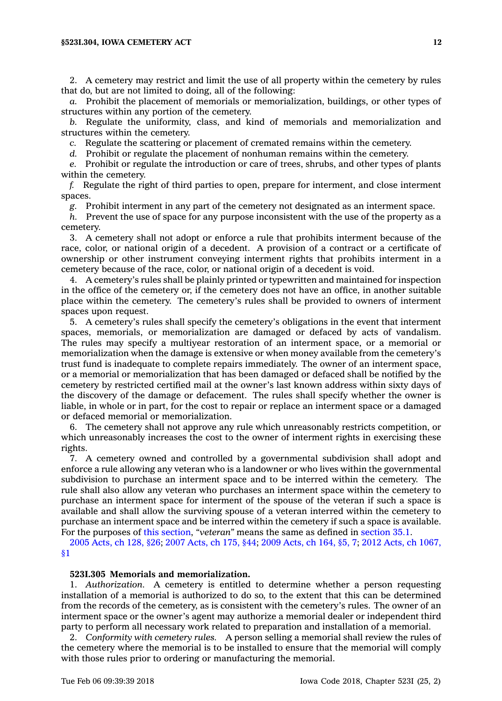2. A cemetery may restrict and limit the use of all property within the cemetery by rules that do, but are not limited to doing, all of the following:

*a.* Prohibit the placement of memorials or memorialization, buildings, or other types of structures within any portion of the cemetery.

*b.* Regulate the uniformity, class, and kind of memorials and memorialization and structures within the cemetery.

*c.* Regulate the scattering or placement of cremated remains within the cemetery.

*d.* Prohibit or regulate the placement of nonhuman remains within the cemetery.

*e.* Prohibit or regulate the introduction or care of trees, shrubs, and other types of plants within the cemetery.

*f.* Regulate the right of third parties to open, prepare for interment, and close interment spaces.

*g.* Prohibit interment in any part of the cemetery not designated as an interment space.

*h.* Prevent the use of space for any purpose inconsistent with the use of the property as <sup>a</sup> cemetery.

3. A cemetery shall not adopt or enforce <sup>a</sup> rule that prohibits interment because of the race, color, or national origin of <sup>a</sup> decedent. A provision of <sup>a</sup> contract or <sup>a</sup> certificate of ownership or other instrument conveying interment rights that prohibits interment in <sup>a</sup> cemetery because of the race, color, or national origin of <sup>a</sup> decedent is void.

4. A cemetery's rules shall be plainly printed or typewritten and maintained for inspection in the office of the cemetery or, if the cemetery does not have an office, in another suitable place within the cemetery. The cemetery's rules shall be provided to owners of interment spaces upon request.

5. A cemetery's rules shall specify the cemetery's obligations in the event that interment spaces, memorials, or memorialization are damaged or defaced by acts of vandalism. The rules may specify <sup>a</sup> multiyear restoration of an interment space, or <sup>a</sup> memorial or memorialization when the damage is extensive or when money available from the cemetery's trust fund is inadequate to complete repairs immediately. The owner of an interment space, or <sup>a</sup> memorial or memorialization that has been damaged or defaced shall be notified by the cemetery by restricted certified mail at the owner's last known address within sixty days of the discovery of the damage or defacement. The rules shall specify whether the owner is liable, in whole or in part, for the cost to repair or replace an interment space or <sup>a</sup> damaged or defaced memorial or memorialization.

6. The cemetery shall not approve any rule which unreasonably restricts competition, or which unreasonably increases the cost to the owner of interment rights in exercising these rights.

7. A cemetery owned and controlled by <sup>a</sup> governmental subdivision shall adopt and enforce <sup>a</sup> rule allowing any veteran who is <sup>a</sup> landowner or who lives within the governmental subdivision to purchase an interment space and to be interred within the cemetery. The rule shall also allow any veteran who purchases an interment space within the cemetery to purchase an interment space for interment of the spouse of the veteran if such <sup>a</sup> space is available and shall allow the surviving spouse of <sup>a</sup> veteran interred within the cemetery to purchase an interment space and be interred within the cemetery if such <sup>a</sup> space is available. For the purposes of this [section](https://www.legis.iowa.gov/docs/code/523I.304.pdf), *"veteran"* means the same as defined in [section](https://www.legis.iowa.gov/docs/code/35.1.pdf) 35.1.

2005 [Acts,](https://www.legis.iowa.gov/docs/acts/2005/CH0128.pdf) ch 128, §26; 2007 [Acts,](https://www.legis.iowa.gov/docs/acts/2007/CH0175.pdf) ch 175, §44; 2009 [Acts,](https://www.legis.iowa.gov/docs/acts/2009/CH0164.pdf) ch 164, §5, 7; 2012 Acts, ch [1067,](https://www.legis.iowa.gov/docs/acts/2012/CH1067.pdf) [§1](https://www.legis.iowa.gov/docs/acts/2012/CH1067.pdf)

#### **523I.305 Memorials and memorialization.**

1. *Authorization.* A cemetery is entitled to determine whether <sup>a</sup> person requesting installation of <sup>a</sup> memorial is authorized to do so, to the extent that this can be determined from the records of the cemetery, as is consistent with the cemetery's rules. The owner of an interment space or the owner's agent may authorize <sup>a</sup> memorial dealer or independent third party to perform all necessary work related to preparation and installation of <sup>a</sup> memorial.

2. *Conformity with cemetery rules.* A person selling <sup>a</sup> memorial shall review the rules of the cemetery where the memorial is to be installed to ensure that the memorial will comply with those rules prior to ordering or manufacturing the memorial.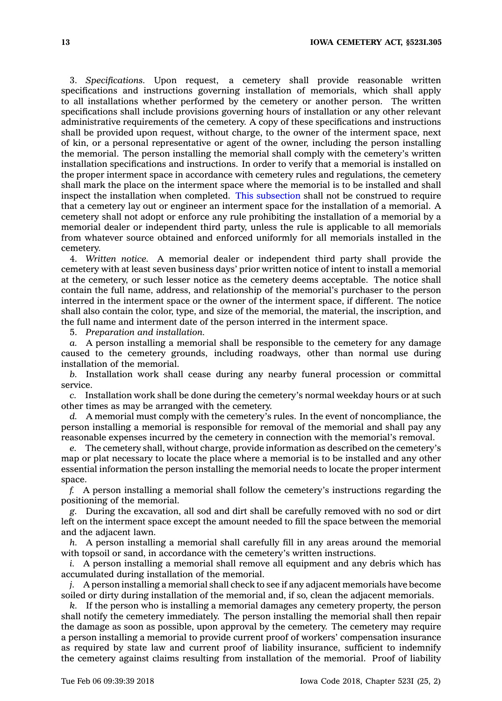3. *Specifications.* Upon request, <sup>a</sup> cemetery shall provide reasonable written specifications and instructions governing installation of memorials, which shall apply to all installations whether performed by the cemetery or another person. The written specifications shall include provisions governing hours of installation or any other relevant administrative requirements of the cemetery. A copy of these specifications and instructions shall be provided upon request, without charge, to the owner of the interment space, next of kin, or <sup>a</sup> personal representative or agent of the owner, including the person installing the memorial. The person installing the memorial shall comply with the cemetery's written installation specifications and instructions. In order to verify that <sup>a</sup> memorial is installed on the proper interment space in accordance with cemetery rules and regulations, the cemetery shall mark the place on the interment space where the memorial is to be installed and shall inspect the installation when completed. This [subsection](https://www.legis.iowa.gov/docs/code/523I.305.pdf) shall not be construed to require that <sup>a</sup> cemetery lay out or engineer an interment space for the installation of <sup>a</sup> memorial. A cemetery shall not adopt or enforce any rule prohibiting the installation of <sup>a</sup> memorial by <sup>a</sup> memorial dealer or independent third party, unless the rule is applicable to all memorials from whatever source obtained and enforced uniformly for all memorials installed in the cemetery.

4. *Written notice.* A memorial dealer or independent third party shall provide the cemetery with at least seven business days' prior written notice of intent to install <sup>a</sup> memorial at the cemetery, or such lesser notice as the cemetery deems acceptable. The notice shall contain the full name, address, and relationship of the memorial's purchaser to the person interred in the interment space or the owner of the interment space, if different. The notice shall also contain the color, type, and size of the memorial, the material, the inscription, and the full name and interment date of the person interred in the interment space.

5. *Preparation and installation.*

*a.* A person installing <sup>a</sup> memorial shall be responsible to the cemetery for any damage caused to the cemetery grounds, including roadways, other than normal use during installation of the memorial.

*b.* Installation work shall cease during any nearby funeral procession or committal service.

*c.* Installation work shall be done during the cemetery's normal weekday hours or at such other times as may be arranged with the cemetery.

*d.* A memorial must comply with the cemetery's rules. In the event of noncompliance, the person installing <sup>a</sup> memorial is responsible for removal of the memorial and shall pay any reasonable expenses incurred by the cemetery in connection with the memorial's removal.

*e.* The cemetery shall, without charge, provide information as described on the cemetery's map or plat necessary to locate the place where <sup>a</sup> memorial is to be installed and any other essential information the person installing the memorial needs to locate the proper interment space.

*f.* A person installing <sup>a</sup> memorial shall follow the cemetery's instructions regarding the positioning of the memorial.

*g.* During the excavation, all sod and dirt shall be carefully removed with no sod or dirt left on the interment space except the amount needed to fill the space between the memorial and the adjacent lawn.

*h.* A person installing <sup>a</sup> memorial shall carefully fill in any areas around the memorial with topsoil or sand, in accordance with the cemetery's written instructions.

*i.* A person installing a memorial shall remove all equipment and any debris which has accumulated during installation of the memorial.

*j.* A person installing <sup>a</sup> memorial shall check to see if any adjacent memorials have become soiled or dirty during installation of the memorial and, if so, clean the adjacent memorials.

*k.* If the person who is installing <sup>a</sup> memorial damages any cemetery property, the person shall notify the cemetery immediately. The person installing the memorial shall then repair the damage as soon as possible, upon approval by the cemetery. The cemetery may require <sup>a</sup> person installing <sup>a</sup> memorial to provide current proof of workers' compensation insurance as required by state law and current proof of liability insurance, sufficient to indemnify the cemetery against claims resulting from installation of the memorial. Proof of liability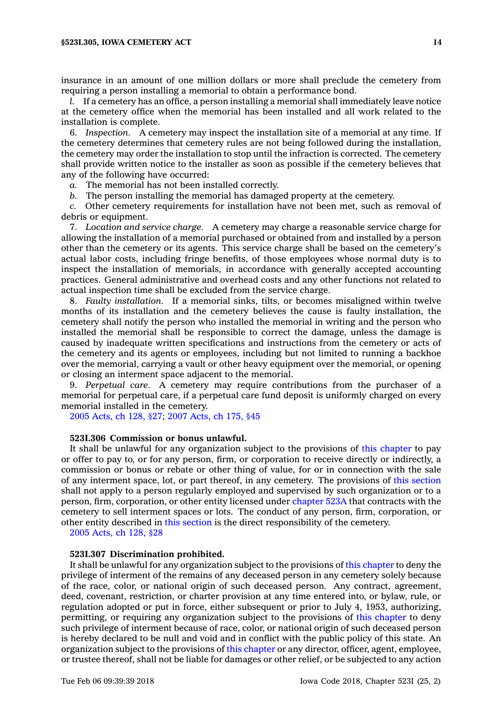#### **§523I.305, IOWA CEMETERY ACT 14**

insurance in an amount of one million dollars or more shall preclude the cemetery from requiring <sup>a</sup> person installing <sup>a</sup> memorial to obtain <sup>a</sup> performance bond.

*l.* If <sup>a</sup> cemetery has an office, <sup>a</sup> person installing <sup>a</sup> memorial shall immediately leave notice at the cemetery office when the memorial has been installed and all work related to the installation is complete.

6. *Inspection.* A cemetery may inspect the installation site of <sup>a</sup> memorial at any time. If the cemetery determines that cemetery rules are not being followed during the installation, the cemetery may order the installation to stop until the infraction is corrected. The cemetery shall provide written notice to the installer as soon as possible if the cemetery believes that any of the following have occurred:

*a.* The memorial has not been installed correctly.

*b.* The person installing the memorial has damaged property at the cemetery.

*c.* Other cemetery requirements for installation have not been met, such as removal of debris or equipment.

7. *Location and service charge.* A cemetery may charge <sup>a</sup> reasonable service charge for allowing the installation of <sup>a</sup> memorial purchased or obtained from and installed by <sup>a</sup> person other than the cemetery or its agents. This service charge shall be based on the cemetery's actual labor costs, including fringe benefits, of those employees whose normal duty is to inspect the installation of memorials, in accordance with generally accepted accounting practices. General administrative and overhead costs and any other functions not related to actual inspection time shall be excluded from the service charge.

8. *Faulty installation.* If <sup>a</sup> memorial sinks, tilts, or becomes misaligned within twelve months of its installation and the cemetery believes the cause is faulty installation, the cemetery shall notify the person who installed the memorial in writing and the person who installed the memorial shall be responsible to correct the damage, unless the damage is caused by inadequate written specifications and instructions from the cemetery or acts of the cemetery and its agents or employees, including but not limited to running <sup>a</sup> backhoe over the memorial, carrying <sup>a</sup> vault or other heavy equipment over the memorial, or opening or closing an interment space adjacent to the memorial.

9. *Perpetual care.* A cemetery may require contributions from the purchaser of <sup>a</sup> memorial for perpetual care, if <sup>a</sup> perpetual care fund deposit is uniformly charged on every memorial installed in the cemetery.

2005 [Acts,](https://www.legis.iowa.gov/docs/acts/2005/CH0128.pdf) ch 128, §27; 2007 [Acts,](https://www.legis.iowa.gov/docs/acts/2007/CH0175.pdf) ch 175, §45

## **523I.306 Commission or bonus unlawful.**

It shall be unlawful for any organization subject to the provisions of this [chapter](https://www.legis.iowa.gov/docs/code//523I.pdf) to pay or offer to pay to, or for any person, firm, or corporation to receive directly or indirectly, <sup>a</sup> commission or bonus or rebate or other thing of value, for or in connection with the sale of any interment space, lot, or part thereof, in any cemetery. The provisions of this [section](https://www.legis.iowa.gov/docs/code/523I.306.pdf) shall not apply to <sup>a</sup> person regularly employed and supervised by such organization or to <sup>a</sup> person, firm, corporation, or other entity licensed under [chapter](https://www.legis.iowa.gov/docs/code//523A.pdf) 523A that contracts with the cemetery to sell interment spaces or lots. The conduct of any person, firm, corporation, or other entity described in this [section](https://www.legis.iowa.gov/docs/code/523I.306.pdf) is the direct responsibility of the cemetery.

2005 [Acts,](https://www.legis.iowa.gov/docs/acts/2005/CH0128.pdf) ch 128, §28

## **523I.307 Discrimination prohibited.**

It shall be unlawful for any organization subject to the provisions of this [chapter](https://www.legis.iowa.gov/docs/code//523I.pdf) to deny the privilege of interment of the remains of any deceased person in any cemetery solely because of the race, color, or national origin of such deceased person. Any contract, agreement, deed, covenant, restriction, or charter provision at any time entered into, or bylaw, rule, or regulation adopted or put in force, either subsequent or prior to July 4, 1953, authorizing, permitting, or requiring any organization subject to the provisions of this [chapter](https://www.legis.iowa.gov/docs/code//523I.pdf) to deny such privilege of interment because of race, color, or national origin of such deceased person is hereby declared to be null and void and in conflict with the public policy of this state. An organization subject to the provisions of this [chapter](https://www.legis.iowa.gov/docs/code//523I.pdf) or any director, officer, agent, employee, or trustee thereof, shall not be liable for damages or other relief, or be subjected to any action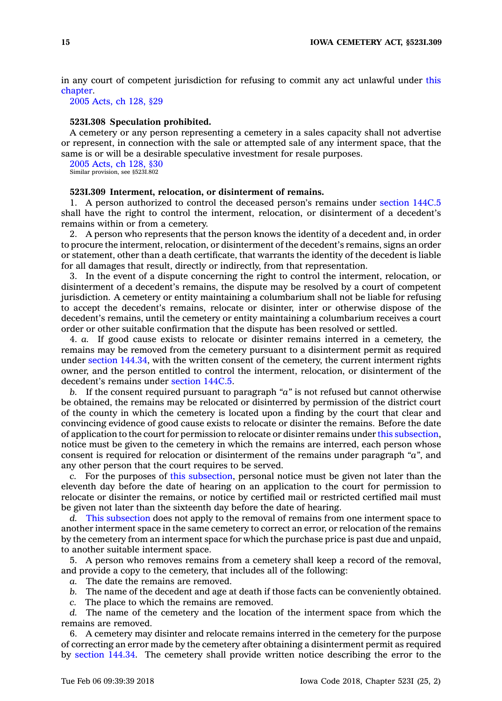in any court of competent jurisdiction for refusing to commit any act unlawful under [this](https://www.legis.iowa.gov/docs/code//523I.pdf) [chapter](https://www.legis.iowa.gov/docs/code//523I.pdf).

2005 [Acts,](https://www.legis.iowa.gov/docs/acts/2005/CH0128.pdf) ch 128, §29

# **523I.308 Speculation prohibited.**

A cemetery or any person representing <sup>a</sup> cemetery in <sup>a</sup> sales capacity shall not advertise or represent, in connection with the sale or attempted sale of any interment space, that the same is or will be <sup>a</sup> desirable speculative investment for resale purposes.

2005 [Acts,](https://www.legis.iowa.gov/docs/acts/2005/CH0128.pdf) ch 128, §30 Similar provision, see §523I.802

## **523I.309 Interment, relocation, or disinterment of remains.**

1. A person authorized to control the deceased person's remains under [section](https://www.legis.iowa.gov/docs/code/144C.5.pdf) 144C.5 shall have the right to control the interment, relocation, or disinterment of <sup>a</sup> decedent's remains within or from <sup>a</sup> cemetery.

2. A person who represents that the person knows the identity of <sup>a</sup> decedent and, in order to procure the interment, relocation, or disinterment of the decedent's remains, signs an order or statement, other than <sup>a</sup> death certificate, that warrants the identity of the decedent is liable for all damages that result, directly or indirectly, from that representation.

3. In the event of <sup>a</sup> dispute concerning the right to control the interment, relocation, or disinterment of <sup>a</sup> decedent's remains, the dispute may be resolved by <sup>a</sup> court of competent jurisdiction. A cemetery or entity maintaining <sup>a</sup> columbarium shall not be liable for refusing to accept the decedent's remains, relocate or disinter, inter or otherwise dispose of the decedent's remains, until the cemetery or entity maintaining <sup>a</sup> columbarium receives <sup>a</sup> court order or other suitable confirmation that the dispute has been resolved or settled.

4. *a.* If good cause exists to relocate or disinter remains interred in <sup>a</sup> cemetery, the remains may be removed from the cemetery pursuant to <sup>a</sup> disinterment permit as required under section [144.34](https://www.legis.iowa.gov/docs/code/144.34.pdf), with the written consent of the cemetery, the current interment rights owner, and the person entitled to control the interment, relocation, or disinterment of the decedent's remains under [section](https://www.legis.iowa.gov/docs/code/144C.5.pdf) 144C.5.

*b.* If the consent required pursuant to paragraph *"a"* is not refused but cannot otherwise be obtained, the remains may be relocated or disinterred by permission of the district court of the county in which the cemetery is located upon <sup>a</sup> finding by the court that clear and convincing evidence of good cause exists to relocate or disinter the remains. Before the date of application to the court for permission to relocate or disinter remains under this [subsection](https://www.legis.iowa.gov/docs/code/523I.309.pdf), notice must be given to the cemetery in which the remains are interred, each person whose consent is required for relocation or disinterment of the remains under paragraph *"a"*, and any other person that the court requires to be served.

*c.* For the purposes of this [subsection](https://www.legis.iowa.gov/docs/code/523I.309.pdf), personal notice must be given not later than the eleventh day before the date of hearing on an application to the court for permission to relocate or disinter the remains, or notice by certified mail or restricted certified mail must be given not later than the sixteenth day before the date of hearing.

*d.* This [subsection](https://www.legis.iowa.gov/docs/code/523I.309.pdf) does not apply to the removal of remains from one interment space to another interment space in the same cemetery to correct an error, or relocation of the remains by the cemetery from an interment space for which the purchase price is past due and unpaid, to another suitable interment space.

5. A person who removes remains from <sup>a</sup> cemetery shall keep <sup>a</sup> record of the removal, and provide <sup>a</sup> copy to the cemetery, that includes all of the following:

*a.* The date the remains are removed.

*b.* The name of the decedent and age at death if those facts can be conveniently obtained.

*c.* The place to which the remains are removed.

*d.* The name of the cemetery and the location of the interment space from which the remains are removed.

6. A cemetery may disinter and relocate remains interred in the cemetery for the purpose of correcting an error made by the cemetery after obtaining <sup>a</sup> disinterment permit as required by [section](https://www.legis.iowa.gov/docs/code/144.34.pdf) 144.34. The cemetery shall provide written notice describing the error to the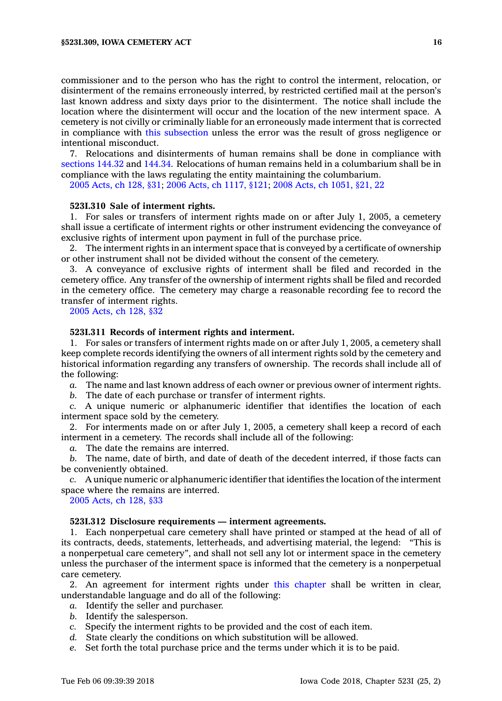commissioner and to the person who has the right to control the interment, relocation, or disinterment of the remains erroneously interred, by restricted certified mail at the person's last known address and sixty days prior to the disinterment. The notice shall include the location where the disinterment will occur and the location of the new interment space. A cemetery is not civilly or criminally liable for an erroneously made interment that is corrected in compliance with this [subsection](https://www.legis.iowa.gov/docs/code/523I.309.pdf) unless the error was the result of gross negligence or intentional misconduct.

7. Relocations and disinterments of human remains shall be done in compliance with [sections](https://www.legis.iowa.gov/docs/code/144.32.pdf) 144.32 and [144.34](https://www.legis.iowa.gov/docs/code/144.34.pdf). Relocations of human remains held in <sup>a</sup> columbarium shall be in compliance with the laws regulating the entity maintaining the columbarium.

2005 [Acts,](https://www.legis.iowa.gov/docs/acts/2005/CH0128.pdf) ch 128, §31; 2006 Acts, ch [1117,](https://www.legis.iowa.gov/docs/acts/2006/CH1117.pdf) §121; 2008 Acts, ch [1051,](https://www.legis.iowa.gov/docs/acts/2008/CH1051.pdf) §21, 22

#### **523I.310 Sale of interment rights.**

1. For sales or transfers of interment rights made on or after July 1, 2005, <sup>a</sup> cemetery shall issue <sup>a</sup> certificate of interment rights or other instrument evidencing the conveyance of exclusive rights of interment upon payment in full of the purchase price.

2. The interment rights in an interment space that is conveyed by <sup>a</sup> certificate of ownership or other instrument shall not be divided without the consent of the cemetery.

3. A conveyance of exclusive rights of interment shall be filed and recorded in the cemetery office. Any transfer of the ownership of interment rights shall be filed and recorded in the cemetery office. The cemetery may charge <sup>a</sup> reasonable recording fee to record the transfer of interment rights.

2005 [Acts,](https://www.legis.iowa.gov/docs/acts/2005/CH0128.pdf) ch 128, §32

## **523I.311 Records of interment rights and interment.**

1. For sales or transfers of interment rights made on or after July 1, 2005, <sup>a</sup> cemetery shall keep complete records identifying the owners of all interment rights sold by the cemetery and historical information regarding any transfers of ownership. The records shall include all of the following:

*a.* The name and last known address of each owner or previous owner of interment rights.

*b.* The date of each purchase or transfer of interment rights.

*c.* A unique numeric or alphanumeric identifier that identifies the location of each interment space sold by the cemetery.

2. For interments made on or after July 1, 2005, <sup>a</sup> cemetery shall keep <sup>a</sup> record of each interment in <sup>a</sup> cemetery. The records shall include all of the following:

*a.* The date the remains are interred.

*b.* The name, date of birth, and date of death of the decedent interred, if those facts can be conveniently obtained.

*c.* A unique numeric or alphanumeric identifier that identifies the location of the interment space where the remains are interred.

2005 [Acts,](https://www.legis.iowa.gov/docs/acts/2005/CH0128.pdf) ch 128, §33

#### **523I.312 Disclosure requirements — interment agreements.**

1. Each nonperpetual care cemetery shall have printed or stamped at the head of all of its contracts, deeds, statements, letterheads, and advertising material, the legend: "This is <sup>a</sup> nonperpetual care cemetery", and shall not sell any lot or interment space in the cemetery unless the purchaser of the interment space is informed that the cemetery is <sup>a</sup> nonperpetual care cemetery.

2. An agreement for interment rights under this [chapter](https://www.legis.iowa.gov/docs/code//523I.pdf) shall be written in clear, understandable language and do all of the following:

- *a.* Identify the seller and purchaser.
- *b.* Identify the salesperson.
- *c.* Specify the interment rights to be provided and the cost of each item.
- *d.* State clearly the conditions on which substitution will be allowed.
- *e.* Set forth the total purchase price and the terms under which it is to be paid.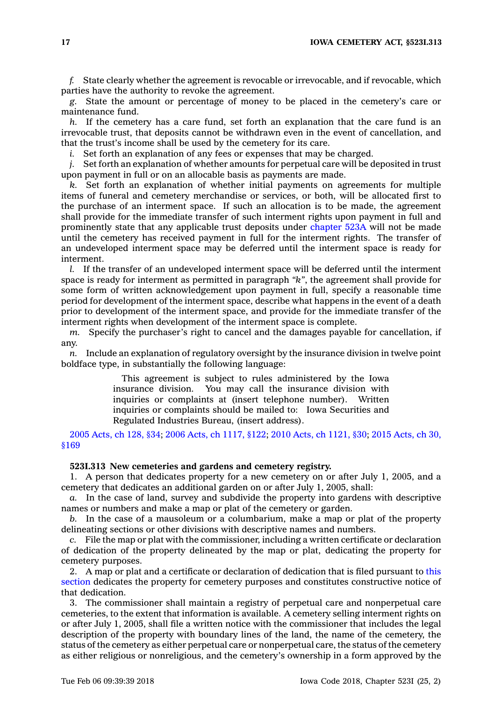**17 IOWA CEMETERY ACT, §523I.313**

*f.* State clearly whether the agreement is revocable or irrevocable, and if revocable, which parties have the authority to revoke the agreement.

*g.* State the amount or percentage of money to be placed in the cemetery's care or maintenance fund.

*h.* If the cemetery has <sup>a</sup> care fund, set forth an explanation that the care fund is an irrevocable trust, that deposits cannot be withdrawn even in the event of cancellation, and that the trust's income shall be used by the cemetery for its care.

*i.* Set forth an explanation of any fees or expenses that may be charged.

*j.* Set forth an explanation of whether amounts for perpetual care will be deposited in trust upon payment in full or on an allocable basis as payments are made.

*k.* Set forth an explanation of whether initial payments on agreements for multiple items of funeral and cemetery merchandise or services, or both, will be allocated first to the purchase of an interment space. If such an allocation is to be made, the agreement shall provide for the immediate transfer of such interment rights upon payment in full and prominently state that any applicable trust deposits under [chapter](https://www.legis.iowa.gov/docs/code//523A.pdf) 523A will not be made until the cemetery has received payment in full for the interment rights. The transfer of an undeveloped interment space may be deferred until the interment space is ready for interment.

*l.* If the transfer of an undeveloped interment space will be deferred until the interment space is ready for interment as permitted in paragraph *"k"*, the agreement shall provide for some form of written acknowledgement upon payment in full, specify <sup>a</sup> reasonable time period for development of the interment space, describe what happens in the event of <sup>a</sup> death prior to development of the interment space, and provide for the immediate transfer of the interment rights when development of the interment space is complete.

*m.* Specify the purchaser's right to cancel and the damages payable for cancellation, if any.

*n.* Include an explanation of regulatory oversight by the insurance division in twelve point boldface type, in substantially the following language:

> This agreement is subject to rules administered by the Iowa insurance division. You may call the insurance division with inquiries or complaints at (insert telephone number). Written inquiries or complaints should be mailed to: Iowa Securities and Regulated Industries Bureau, (insert address).

2005 [Acts,](https://www.legis.iowa.gov/docs/acts/2005/CH0128.pdf) ch 128, §34; 2006 Acts, ch [1117,](https://www.legis.iowa.gov/docs/acts/2006/CH1117.pdf) §122; 2010 Acts, ch [1121,](https://www.legis.iowa.gov/docs/acts/2010/CH1121.pdf) §30; 2015 [Acts,](https://www.legis.iowa.gov/docs/acts/2015/CH0030.pdf) ch 30, [§169](https://www.legis.iowa.gov/docs/acts/2015/CH0030.pdf)

# **523I.313 New cemeteries and gardens and cemetery registry.**

1. A person that dedicates property for <sup>a</sup> new cemetery on or after July 1, 2005, and <sup>a</sup> cemetery that dedicates an additional garden on or after July 1, 2005, shall:

*a.* In the case of land, survey and subdivide the property into gardens with descriptive names or numbers and make <sup>a</sup> map or plat of the cemetery or garden.

*b.* In the case of <sup>a</sup> mausoleum or <sup>a</sup> columbarium, make <sup>a</sup> map or plat of the property delineating sections or other divisions with descriptive names and numbers.

*c.* File the map or plat with the commissioner, including <sup>a</sup> written certificate or declaration of dedication of the property delineated by the map or plat, dedicating the property for cemetery purposes.

2. A map or plat and <sup>a</sup> certificate or declaration of dedication that is filed pursuant to [this](https://www.legis.iowa.gov/docs/code/523I.313.pdf) [section](https://www.legis.iowa.gov/docs/code/523I.313.pdf) dedicates the property for cemetery purposes and constitutes constructive notice of that dedication.

3. The commissioner shall maintain <sup>a</sup> registry of perpetual care and nonperpetual care cemeteries, to the extent that information is available. A cemetery selling interment rights on or after July 1, 2005, shall file <sup>a</sup> written notice with the commissioner that includes the legal description of the property with boundary lines of the land, the name of the cemetery, the status of the cemetery as either perpetual care or nonperpetual care, the status of the cemetery as either religious or nonreligious, and the cemetery's ownership in <sup>a</sup> form approved by the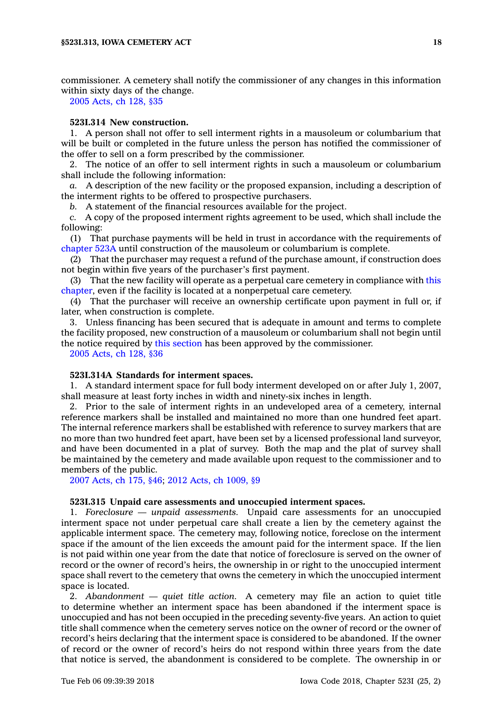commissioner. A cemetery shall notify the commissioner of any changes in this information within sixty days of the change.

2005 [Acts,](https://www.legis.iowa.gov/docs/acts/2005/CH0128.pdf) ch 128, §35

# **523I.314 New construction.**

1. A person shall not offer to sell interment rights in <sup>a</sup> mausoleum or columbarium that will be built or completed in the future unless the person has notified the commissioner of the offer to sell on <sup>a</sup> form prescribed by the commissioner.

2. The notice of an offer to sell interment rights in such <sup>a</sup> mausoleum or columbarium shall include the following information:

*a.* A description of the new facility or the proposed expansion, including <sup>a</sup> description of the interment rights to be offered to prospective purchasers.

*b.* A statement of the financial resources available for the project.

*c.* A copy of the proposed interment rights agreement to be used, which shall include the following:

(1) That purchase payments will be held in trust in accordance with the requirements of [chapter](https://www.legis.iowa.gov/docs/code//523A.pdf) 523A until construction of the mausoleum or columbarium is complete.

(2) That the purchaser may request <sup>a</sup> refund of the purchase amount, if construction does not begin within five years of the purchaser's first payment.

(3) That the new facility will operate as <sup>a</sup> perpetual care cemetery in compliance with [this](https://www.legis.iowa.gov/docs/code//523I.pdf) [chapter](https://www.legis.iowa.gov/docs/code//523I.pdf), even if the facility is located at <sup>a</sup> nonperpetual care cemetery.

(4) That the purchaser will receive an ownership certificate upon payment in full or, if later, when construction is complete.

3. Unless financing has been secured that is adequate in amount and terms to complete the facility proposed, new construction of <sup>a</sup> mausoleum or columbarium shall not begin until the notice required by this [section](https://www.legis.iowa.gov/docs/code/523I.314.pdf) has been approved by the commissioner.

2005 [Acts,](https://www.legis.iowa.gov/docs/acts/2005/CH0128.pdf) ch 128, §36

#### **523I.314A Standards for interment spaces.**

1. A standard interment space for full body interment developed on or after July 1, 2007, shall measure at least forty inches in width and ninety-six inches in length.

2. Prior to the sale of interment rights in an undeveloped area of <sup>a</sup> cemetery, internal reference markers shall be installed and maintained no more than one hundred feet apart. The internal reference markers shall be established with reference to survey markers that are no more than two hundred feet apart, have been set by <sup>a</sup> licensed professional land surveyor, and have been documented in <sup>a</sup> plat of survey. Both the map and the plat of survey shall be maintained by the cemetery and made available upon request to the commissioner and to members of the public.

2007 [Acts,](https://www.legis.iowa.gov/docs/acts/2007/CH0175.pdf) ch 175, §46; 2012 Acts, ch [1009,](https://www.legis.iowa.gov/docs/acts/2012/CH1009.pdf) §9

#### **523I.315 Unpaid care assessments and unoccupied interment spaces.**

1. *Foreclosure — unpaid assessments.* Unpaid care assessments for an unoccupied interment space not under perpetual care shall create <sup>a</sup> lien by the cemetery against the applicable interment space. The cemetery may, following notice, foreclose on the interment space if the amount of the lien exceeds the amount paid for the interment space. If the lien is not paid within one year from the date that notice of foreclosure is served on the owner of record or the owner of record's heirs, the ownership in or right to the unoccupied interment space shall revert to the cemetery that owns the cemetery in which the unoccupied interment space is located.

2. *Abandonment — quiet title action.* A cemetery may file an action to quiet title to determine whether an interment space has been abandoned if the interment space is unoccupied and has not been occupied in the preceding seventy-five years. An action to quiet title shall commence when the cemetery serves notice on the owner of record or the owner of record's heirs declaring that the interment space is considered to be abandoned. If the owner of record or the owner of record's heirs do not respond within three years from the date that notice is served, the abandonment is considered to be complete. The ownership in or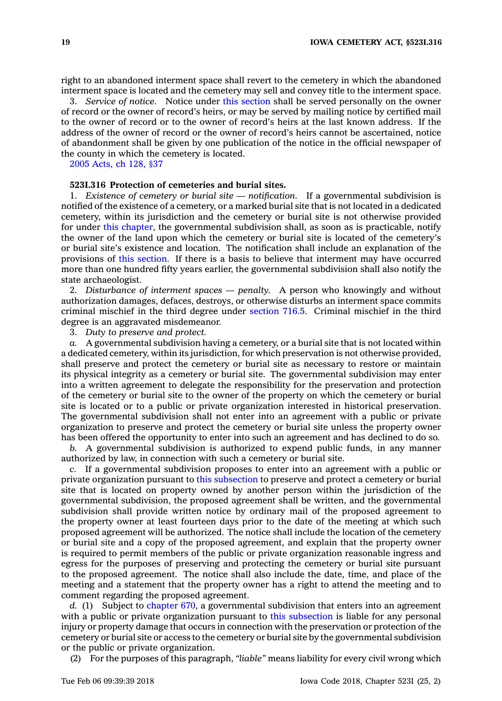right to an abandoned interment space shall revert to the cemetery in which the abandoned interment space is located and the cemetery may sell and convey title to the interment space.

3. *Service of notice.* Notice under this [section](https://www.legis.iowa.gov/docs/code/523I.315.pdf) shall be served personally on the owner of record or the owner of record's heirs, or may be served by mailing notice by certified mail to the owner of record or to the owner of record's heirs at the last known address. If the address of the owner of record or the owner of record's heirs cannot be ascertained, notice of abandonment shall be given by one publication of the notice in the official newspaper of the county in which the cemetery is located.

2005 [Acts,](https://www.legis.iowa.gov/docs/acts/2005/CH0128.pdf) ch 128, §37

# **523I.316 Protection of cemeteries and burial sites.**

1. *Existence of cemetery or burial site — notification.* If <sup>a</sup> governmental subdivision is notified of the existence of <sup>a</sup> cemetery, or <sup>a</sup> marked burial site that is not located in <sup>a</sup> dedicated cemetery, within its jurisdiction and the cemetery or burial site is not otherwise provided for under this [chapter](https://www.legis.iowa.gov/docs/code//523I.pdf), the governmental subdivision shall, as soon as is practicable, notify the owner of the land upon which the cemetery or burial site is located of the cemetery's or burial site's existence and location. The notification shall include an explanation of the provisions of this [section](https://www.legis.iowa.gov/docs/code/523I.316.pdf). If there is <sup>a</sup> basis to believe that interment may have occurred more than one hundred fifty years earlier, the governmental subdivision shall also notify the state archaeologist.

2. *Disturbance of interment spaces — penalty.* A person who knowingly and without authorization damages, defaces, destroys, or otherwise disturbs an interment space commits criminal mischief in the third degree under [section](https://www.legis.iowa.gov/docs/code/716.5.pdf) 716.5. Criminal mischief in the third degree is an aggravated misdemeanor.

3. *Duty to preserve and protect.*

*a.* A governmental subdivision having <sup>a</sup> cemetery, or <sup>a</sup> burial site that is not located within <sup>a</sup> dedicated cemetery, within its jurisdiction, for which preservation is not otherwise provided, shall preserve and protect the cemetery or burial site as necessary to restore or maintain its physical integrity as <sup>a</sup> cemetery or burial site. The governmental subdivision may enter into <sup>a</sup> written agreement to delegate the responsibility for the preservation and protection of the cemetery or burial site to the owner of the property on which the cemetery or burial site is located or to <sup>a</sup> public or private organization interested in historical preservation. The governmental subdivision shall not enter into an agreement with <sup>a</sup> public or private organization to preserve and protect the cemetery or burial site unless the property owner has been offered the opportunity to enter into such an agreement and has declined to do so.

*b.* A governmental subdivision is authorized to expend public funds, in any manner authorized by law, in connection with such <sup>a</sup> cemetery or burial site.

*c.* If <sup>a</sup> governmental subdivision proposes to enter into an agreement with <sup>a</sup> public or private organization pursuant to this [subsection](https://www.legis.iowa.gov/docs/code/523I.316.pdf) to preserve and protect <sup>a</sup> cemetery or burial site that is located on property owned by another person within the jurisdiction of the governmental subdivision, the proposed agreement shall be written, and the governmental subdivision shall provide written notice by ordinary mail of the proposed agreement to the property owner at least fourteen days prior to the date of the meeting at which such proposed agreement will be authorized. The notice shall include the location of the cemetery or burial site and <sup>a</sup> copy of the proposed agreement, and explain that the property owner is required to permit members of the public or private organization reasonable ingress and egress for the purposes of preserving and protecting the cemetery or burial site pursuant to the proposed agreement. The notice shall also include the date, time, and place of the meeting and <sup>a</sup> statement that the property owner has <sup>a</sup> right to attend the meeting and to comment regarding the proposed agreement.

*d.* (1) Subject to [chapter](https://www.legis.iowa.gov/docs/code//670.pdf) 670, <sup>a</sup> governmental subdivision that enters into an agreement with a public or private organization pursuant to this [subsection](https://www.legis.iowa.gov/docs/code/523I.316.pdf) is liable for any personal injury or property damage that occurs in connection with the preservation or protection of the cemetery or burial site or access to the cemetery or burial site by the governmental subdivision or the public or private organization.

(2) For the purposes of this paragraph, *"liable"* means liability for every civil wrong which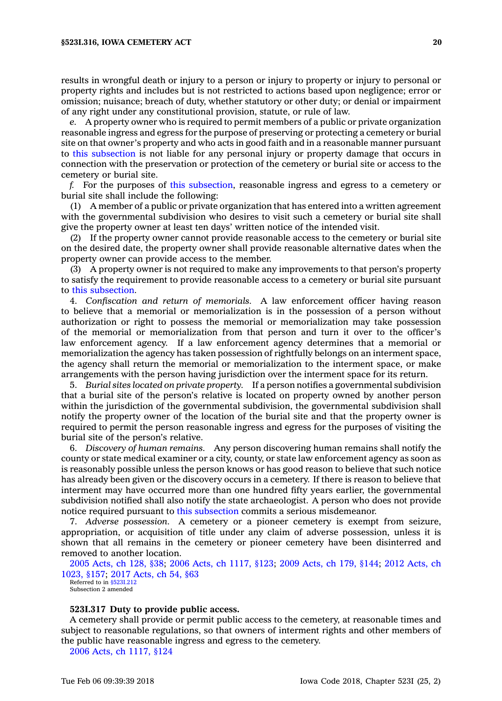results in wrongful death or injury to <sup>a</sup> person or injury to property or injury to personal or property rights and includes but is not restricted to actions based upon negligence; error or omission; nuisance; breach of duty, whether statutory or other duty; or denial or impairment of any right under any constitutional provision, statute, or rule of law.

*e.* A property owner who is required to permit members of <sup>a</sup> public or private organization reasonable ingress and egress for the purpose of preserving or protecting <sup>a</sup> cemetery or burial site on that owner's property and who acts in good faith and in <sup>a</sup> reasonable manner pursuant to this [subsection](https://www.legis.iowa.gov/docs/code/523I.316.pdf) is not liable for any personal injury or property damage that occurs in connection with the preservation or protection of the cemetery or burial site or access to the cemetery or burial site.

*f.* For the purposes of this [subsection](https://www.legis.iowa.gov/docs/code/523I.316.pdf), reasonable ingress and egress to <sup>a</sup> cemetery or burial site shall include the following:

(1) A member of <sup>a</sup> public or private organization that has entered into <sup>a</sup> written agreement with the governmental subdivision who desires to visit such <sup>a</sup> cemetery or burial site shall give the property owner at least ten days' written notice of the intended visit.

(2) If the property owner cannot provide reasonable access to the cemetery or burial site on the desired date, the property owner shall provide reasonable alternative dates when the property owner can provide access to the member.

(3) A property owner is not required to make any improvements to that person's property to satisfy the requirement to provide reasonable access to <sup>a</sup> cemetery or burial site pursuant to this [subsection](https://www.legis.iowa.gov/docs/code/523I.316.pdf).

4. *Confiscation and return of memorials.* A law enforcement officer having reason to believe that <sup>a</sup> memorial or memorialization is in the possession of <sup>a</sup> person without authorization or right to possess the memorial or memorialization may take possession of the memorial or memorialization from that person and turn it over to the officer's law enforcement agency. If <sup>a</sup> law enforcement agency determines that <sup>a</sup> memorial or memorialization the agency has taken possession of rightfully belongs on an interment space, the agency shall return the memorial or memorialization to the interment space, or make arrangements with the person having jurisdiction over the interment space for its return.

5. *Burial sites located on private property.* If <sup>a</sup> person notifies <sup>a</sup> governmental subdivision that <sup>a</sup> burial site of the person's relative is located on property owned by another person within the jurisdiction of the governmental subdivision, the governmental subdivision shall notify the property owner of the location of the burial site and that the property owner is required to permit the person reasonable ingress and egress for the purposes of visiting the burial site of the person's relative.

6. *Discovery of human remains.* Any person discovering human remains shall notify the county or state medical examiner or <sup>a</sup> city, county, or state law enforcement agency as soon as is reasonably possible unless the person knows or has good reason to believe that such notice has already been given or the discovery occurs in <sup>a</sup> cemetery. If there is reason to believe that interment may have occurred more than one hundred fifty years earlier, the governmental subdivision notified shall also notify the state archaeologist. A person who does not provide notice required pursuant to this [subsection](https://www.legis.iowa.gov/docs/code/523I.316.pdf) commits <sup>a</sup> serious misdemeanor.

7. *Adverse possession.* A cemetery or <sup>a</sup> pioneer cemetery is exempt from seizure, appropriation, or acquisition of title under any claim of adverse possession, unless it is shown that all remains in the cemetery or pioneer cemetery have been disinterred and removed to another location.

2005 [Acts,](https://www.legis.iowa.gov/docs/acts/2005/CH0128.pdf) ch 128, §38; 2006 Acts, ch [1117,](https://www.legis.iowa.gov/docs/acts/2006/CH1117.pdf) §123; 2009 [Acts,](https://www.legis.iowa.gov/docs/acts/2009/CH0179.pdf) ch 179, §144; 2012 [Acts,](https://www.legis.iowa.gov/docs/acts/2012/CH1023.pdf) ch [1023,](https://www.legis.iowa.gov/docs/acts/2012/CH1023.pdf) §157; 2017 [Acts,](https://www.legis.iowa.gov/docs/acts/2017/CH0054.pdf) ch 54, §63

Referred to in [§523I.212](https://www.legis.iowa.gov/docs/code/523I.212.pdf) Subsection 2 amended

#### **523I.317 Duty to provide public access.**

A cemetery shall provide or permit public access to the cemetery, at reasonable times and subject to reasonable regulations, so that owners of interment rights and other members of the public have reasonable ingress and egress to the cemetery.

2006 Acts, ch [1117,](https://www.legis.iowa.gov/docs/acts/2006/CH1117.pdf) §124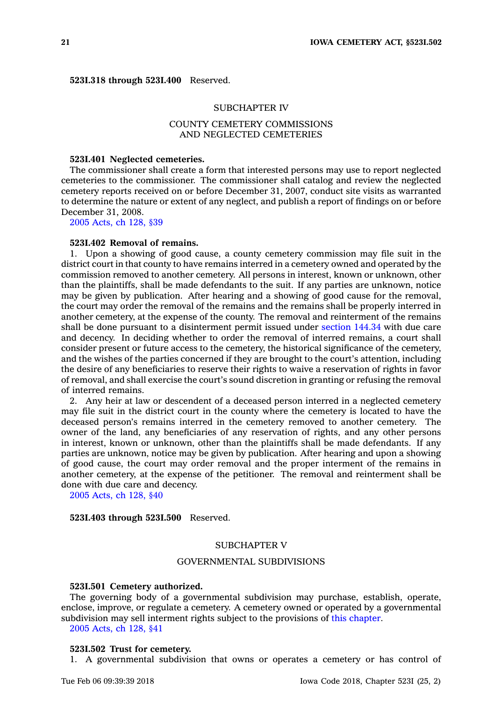**523I.318 through 523I.400** Reserved.

#### SUBCHAPTER IV

# COUNTY CEMETERY COMMISSIONS AND NEGLECTED CEMETERIES

## **523I.401 Neglected cemeteries.**

The commissioner shall create <sup>a</sup> form that interested persons may use to report neglected cemeteries to the commissioner. The commissioner shall catalog and review the neglected cemetery reports received on or before December 31, 2007, conduct site visits as warranted to determine the nature or extent of any neglect, and publish <sup>a</sup> report of findings on or before December 31, 2008.

2005 [Acts,](https://www.legis.iowa.gov/docs/acts/2005/CH0128.pdf) ch 128, §39

#### **523I.402 Removal of remains.**

1. Upon <sup>a</sup> showing of good cause, <sup>a</sup> county cemetery commission may file suit in the district court in that county to have remains interred in <sup>a</sup> cemetery owned and operated by the commission removed to another cemetery. All persons in interest, known or unknown, other than the plaintiffs, shall be made defendants to the suit. If any parties are unknown, notice may be given by publication. After hearing and <sup>a</sup> showing of good cause for the removal, the court may order the removal of the remains and the remains shall be properly interred in another cemetery, at the expense of the county. The removal and reinterment of the remains shall be done pursuant to <sup>a</sup> disinterment permit issued under [section](https://www.legis.iowa.gov/docs/code/144.34.pdf) 144.34 with due care and decency. In deciding whether to order the removal of interred remains, <sup>a</sup> court shall consider present or future access to the cemetery, the historical significance of the cemetery, and the wishes of the parties concerned if they are brought to the court's attention, including the desire of any beneficiaries to reserve their rights to waive <sup>a</sup> reservation of rights in favor of removal, and shall exercise the court's sound discretion in granting or refusing the removal of interred remains.

2. Any heir at law or descendent of <sup>a</sup> deceased person interred in <sup>a</sup> neglected cemetery may file suit in the district court in the county where the cemetery is located to have the deceased person's remains interred in the cemetery removed to another cemetery. The owner of the land, any beneficiaries of any reservation of rights, and any other persons in interest, known or unknown, other than the plaintiffs shall be made defendants. If any parties are unknown, notice may be given by publication. After hearing and upon <sup>a</sup> showing of good cause, the court may order removal and the proper interment of the remains in another cemetery, at the expense of the petitioner. The removal and reinterment shall be done with due care and decency.

2005 [Acts,](https://www.legis.iowa.gov/docs/acts/2005/CH0128.pdf) ch 128, §40

**523I.403 through 523I.500** Reserved.

#### SUBCHAPTER V

## GOVERNMENTAL SUBDIVISIONS

#### **523I.501 Cemetery authorized.**

The governing body of <sup>a</sup> governmental subdivision may purchase, establish, operate, enclose, improve, or regulate <sup>a</sup> cemetery. A cemetery owned or operated by <sup>a</sup> governmental subdivision may sell interment rights subject to the provisions of this [chapter](https://www.legis.iowa.gov/docs/code//523I.pdf).

2005 [Acts,](https://www.legis.iowa.gov/docs/acts/2005/CH0128.pdf) ch 128, §41

#### **523I.502 Trust for cemetery.**

1. A governmental subdivision that owns or operates <sup>a</sup> cemetery or has control of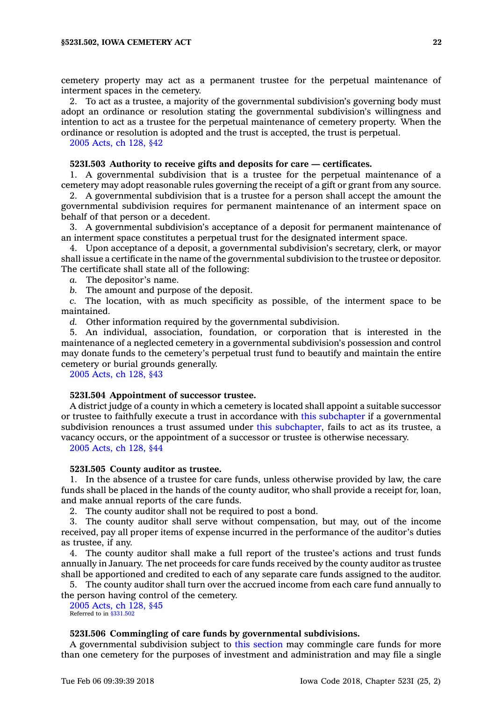cemetery property may act as <sup>a</sup> permanent trustee for the perpetual maintenance of interment spaces in the cemetery.

2. To act as <sup>a</sup> trustee, <sup>a</sup> majority of the governmental subdivision's governing body must adopt an ordinance or resolution stating the governmental subdivision's willingness and intention to act as <sup>a</sup> trustee for the perpetual maintenance of cemetery property. When the ordinance or resolution is adopted and the trust is accepted, the trust is perpetual.

2005 [Acts,](https://www.legis.iowa.gov/docs/acts/2005/CH0128.pdf) ch 128, §42

## **523I.503 Authority to receive gifts and deposits for care — certificates.**

1. A governmental subdivision that is <sup>a</sup> trustee for the perpetual maintenance of <sup>a</sup> cemetery may adopt reasonable rules governing the receipt of <sup>a</sup> gift or grant from any source.

2. A governmental subdivision that is <sup>a</sup> trustee for <sup>a</sup> person shall accept the amount the governmental subdivision requires for permanent maintenance of an interment space on behalf of that person or <sup>a</sup> decedent.

3. A governmental subdivision's acceptance of <sup>a</sup> deposit for permanent maintenance of an interment space constitutes <sup>a</sup> perpetual trust for the designated interment space.

4. Upon acceptance of <sup>a</sup> deposit, <sup>a</sup> governmental subdivision's secretary, clerk, or mayor shall issue <sup>a</sup> certificate in the name of the governmental subdivision to the trustee or depositor. The certificate shall state all of the following:

*a.* The depositor's name.

*b.* The amount and purpose of the deposit.

*c.* The location, with as much specificity as possible, of the interment space to be maintained.

*d.* Other information required by the governmental subdivision.

5. An individual, association, foundation, or corporation that is interested in the maintenance of <sup>a</sup> neglected cemetery in <sup>a</sup> governmental subdivision's possession and control may donate funds to the cemetery's perpetual trust fund to beautify and maintain the entire cemetery or burial grounds generally.

2005 [Acts,](https://www.legis.iowa.gov/docs/acts/2005/CH0128.pdf) ch 128, §43

#### **523I.504 Appointment of successor trustee.**

A district judge of <sup>a</sup> county in which <sup>a</sup> cemetery is located shall appoint <sup>a</sup> suitable successor or trustee to faithfully execute <sup>a</sup> trust in accordance with this [subchapter](https://www.legis.iowa.gov/docs/code//523I.pdf) if <sup>a</sup> governmental subdivision renounces <sup>a</sup> trust assumed under this [subchapter](https://www.legis.iowa.gov/docs/code//523I.pdf), fails to act as its trustee, <sup>a</sup> vacancy occurs, or the appointment of <sup>a</sup> successor or trustee is otherwise necessary.

2005 [Acts,](https://www.legis.iowa.gov/docs/acts/2005/CH0128.pdf) ch 128, §44

#### **523I.505 County auditor as trustee.**

1. In the absence of <sup>a</sup> trustee for care funds, unless otherwise provided by law, the care funds shall be placed in the hands of the county auditor, who shall provide <sup>a</sup> receipt for, loan, and make annual reports of the care funds.

2. The county auditor shall not be required to post <sup>a</sup> bond.

3. The county auditor shall serve without compensation, but may, out of the income received, pay all proper items of expense incurred in the performance of the auditor's duties as trustee, if any.

4. The county auditor shall make <sup>a</sup> full report of the trustee's actions and trust funds annually in January. The net proceeds for care funds received by the county auditor as trustee shall be apportioned and credited to each of any separate care funds assigned to the auditor.

5. The county auditor shall turn over the accrued income from each care fund annually to the person having control of the cemetery.

2005 [Acts,](https://www.legis.iowa.gov/docs/acts/2005/CH0128.pdf) ch 128, §45 Referred to in [§331.502](https://www.legis.iowa.gov/docs/code/331.502.pdf)

# **523I.506 Commingling of care funds by governmental subdivisions.**

A governmental subdivision subject to this [section](https://www.legis.iowa.gov/docs/code/523I.506.pdf) may commingle care funds for more than one cemetery for the purposes of investment and administration and may file <sup>a</sup> single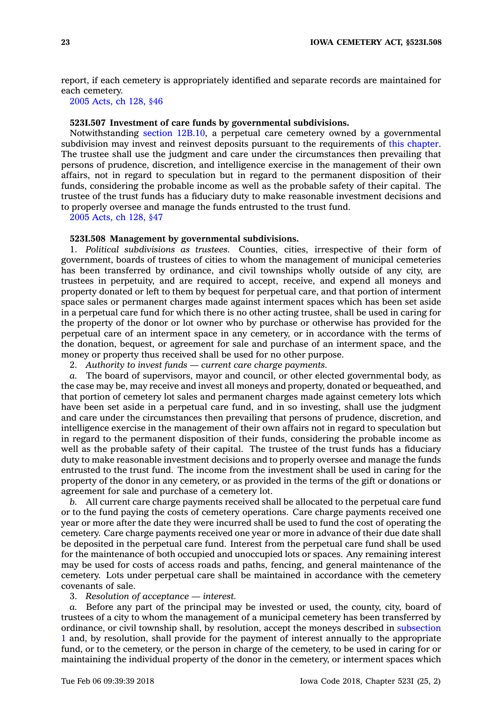report, if each cemetery is appropriately identified and separate records are maintained for each cemetery.

2005 [Acts,](https://www.legis.iowa.gov/docs/acts/2005/CH0128.pdf) ch 128, §46

## **523I.507 Investment of care funds by governmental subdivisions.**

Notwithstanding section [12B.10](https://www.legis.iowa.gov/docs/code/12B.10.pdf), <sup>a</sup> perpetual care cemetery owned by <sup>a</sup> governmental subdivision may invest and reinvest deposits pursuant to the requirements of this [chapter](https://www.legis.iowa.gov/docs/code//523I.pdf). The trustee shall use the judgment and care under the circumstances then prevailing that persons of prudence, discretion, and intelligence exercise in the management of their own affairs, not in regard to speculation but in regard to the permanent disposition of their funds, considering the probable income as well as the probable safety of their capital. The trustee of the trust funds has <sup>a</sup> fiduciary duty to make reasonable investment decisions and to properly oversee and manage the funds entrusted to the trust fund.

2005 [Acts,](https://www.legis.iowa.gov/docs/acts/2005/CH0128.pdf) ch 128, §47

#### **523I.508 Management by governmental subdivisions.**

1. *Political subdivisions as trustees.* Counties, cities, irrespective of their form of government, boards of trustees of cities to whom the management of municipal cemeteries has been transferred by ordinance, and civil townships wholly outside of any city, are trustees in perpetuity, and are required to accept, receive, and expend all moneys and property donated or left to them by bequest for perpetual care, and that portion of interment space sales or permanent charges made against interment spaces which has been set aside in <sup>a</sup> perpetual care fund for which there is no other acting trustee, shall be used in caring for the property of the donor or lot owner who by purchase or otherwise has provided for the perpetual care of an interment space in any cemetery, or in accordance with the terms of the donation, bequest, or agreement for sale and purchase of an interment space, and the money or property thus received shall be used for no other purpose.

2. *Authority to invest funds — current care charge payments.*

*a.* The board of supervisors, mayor and council, or other elected governmental body, as the case may be, may receive and invest all moneys and property, donated or bequeathed, and that portion of cemetery lot sales and permanent charges made against cemetery lots which have been set aside in <sup>a</sup> perpetual care fund, and in so investing, shall use the judgment and care under the circumstances then prevailing that persons of prudence, discretion, and intelligence exercise in the management of their own affairs not in regard to speculation but in regard to the permanent disposition of their funds, considering the probable income as well as the probable safety of their capital. The trustee of the trust funds has a fiduciary duty to make reasonable investment decisions and to properly oversee and manage the funds entrusted to the trust fund. The income from the investment shall be used in caring for the property of the donor in any cemetery, or as provided in the terms of the gift or donations or agreement for sale and purchase of <sup>a</sup> cemetery lot.

*b.* All current care charge payments received shall be allocated to the perpetual care fund or to the fund paying the costs of cemetery operations. Care charge payments received one year or more after the date they were incurred shall be used to fund the cost of operating the cemetery. Care charge payments received one year or more in advance of their due date shall be deposited in the perpetual care fund. Interest from the perpetual care fund shall be used for the maintenance of both occupied and unoccupied lots or spaces. Any remaining interest may be used for costs of access roads and paths, fencing, and general maintenance of the cemetery. Lots under perpetual care shall be maintained in accordance with the cemetery covenants of sale.

3. *Resolution of acceptance — interest.*

*a.* Before any part of the principal may be invested or used, the county, city, board of trustees of <sup>a</sup> city to whom the management of <sup>a</sup> municipal cemetery has been transferred by ordinance, or civil township shall, by resolution, accept the moneys described in [subsection](https://www.legis.iowa.gov/docs/code/523I.508.pdf) [1](https://www.legis.iowa.gov/docs/code/523I.508.pdf) and, by resolution, shall provide for the payment of interest annually to the appropriate fund, or to the cemetery, or the person in charge of the cemetery, to be used in caring for or maintaining the individual property of the donor in the cemetery, or interment spaces which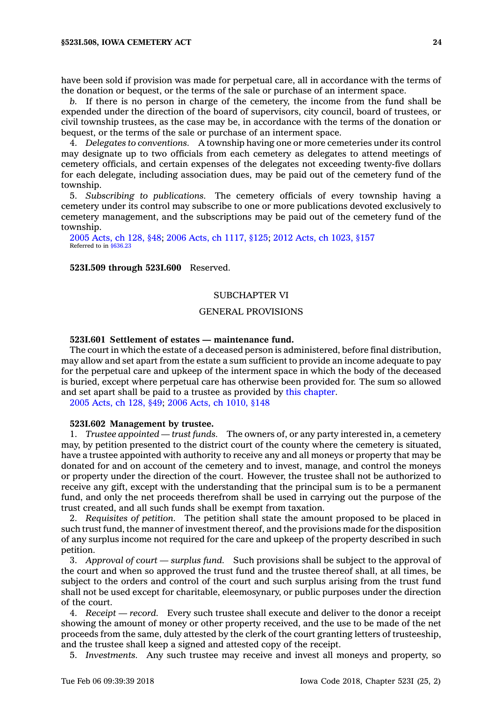*b.* If there is no person in charge of the cemetery, the income from the fund shall be expended under the direction of the board of supervisors, city council, board of trustees, or civil township trustees, as the case may be, in accordance with the terms of the donation or bequest, or the terms of the sale or purchase of an interment space.

4. *Delegates to conventions.* A township having one or more cemeteries under its control may designate up to two officials from each cemetery as delegates to attend meetings of cemetery officials, and certain expenses of the delegates not exceeding twenty-five dollars for each delegate, including association dues, may be paid out of the cemetery fund of the township.

5. *Subscribing to publications.* The cemetery officials of every township having <sup>a</sup> cemetery under its control may subscribe to one or more publications devoted exclusively to cemetery management, and the subscriptions may be paid out of the cemetery fund of the township.

2005 [Acts,](https://www.legis.iowa.gov/docs/acts/2005/CH0128.pdf) ch 128, §48; 2006 Acts, ch [1117,](https://www.legis.iowa.gov/docs/acts/2006/CH1117.pdf) §125; 2012 Acts, ch [1023,](https://www.legis.iowa.gov/docs/acts/2012/CH1023.pdf) §157 Referred to in [§636.23](https://www.legis.iowa.gov/docs/code/636.23.pdf)

#### **523I.509 through 523I.600** Reserved.

# SUBCHAPTER VI

# GENERAL PROVISIONS

# **523I.601 Settlement of estates — maintenance fund.**

The court in which the estate of <sup>a</sup> deceased person is administered, before final distribution, may allow and set apart from the estate <sup>a</sup> sum sufficient to provide an income adequate to pay for the perpetual care and upkeep of the interment space in which the body of the deceased is buried, except where perpetual care has otherwise been provided for. The sum so allowed and set apart shall be paid to <sup>a</sup> trustee as provided by this [chapter](https://www.legis.iowa.gov/docs/code//523I.pdf).

2005 [Acts,](https://www.legis.iowa.gov/docs/acts/2005/CH0128.pdf) ch 128, §49; 2006 Acts, ch [1010,](https://www.legis.iowa.gov/docs/acts/2006/CH1010.pdf) §148

## **523I.602 Management by trustee.**

1. *Trustee appointed — trust funds.* The owners of, or any party interested in, <sup>a</sup> cemetery may, by petition presented to the district court of the county where the cemetery is situated, have <sup>a</sup> trustee appointed with authority to receive any and all moneys or property that may be donated for and on account of the cemetery and to invest, manage, and control the moneys or property under the direction of the court. However, the trustee shall not be authorized to receive any gift, except with the understanding that the principal sum is to be <sup>a</sup> permanent fund, and only the net proceeds therefrom shall be used in carrying out the purpose of the trust created, and all such funds shall be exempt from taxation.

2. *Requisites of petition.* The petition shall state the amount proposed to be placed in such trust fund, the manner of investment thereof, and the provisions made for the disposition of any surplus income not required for the care and upkeep of the property described in such petition.

3. *Approval of court —surplus fund.* Such provisions shall be subject to the approval of the court and when so approved the trust fund and the trustee thereof shall, at all times, be subject to the orders and control of the court and such surplus arising from the trust fund shall not be used except for charitable, eleemosynary, or public purposes under the direction of the court.

4. *Receipt —record.* Every such trustee shall execute and deliver to the donor <sup>a</sup> receipt showing the amount of money or other property received, and the use to be made of the net proceeds from the same, duly attested by the clerk of the court granting letters of trusteeship, and the trustee shall keep <sup>a</sup> signed and attested copy of the receipt.

5. *Investments.* Any such trustee may receive and invest all moneys and property, so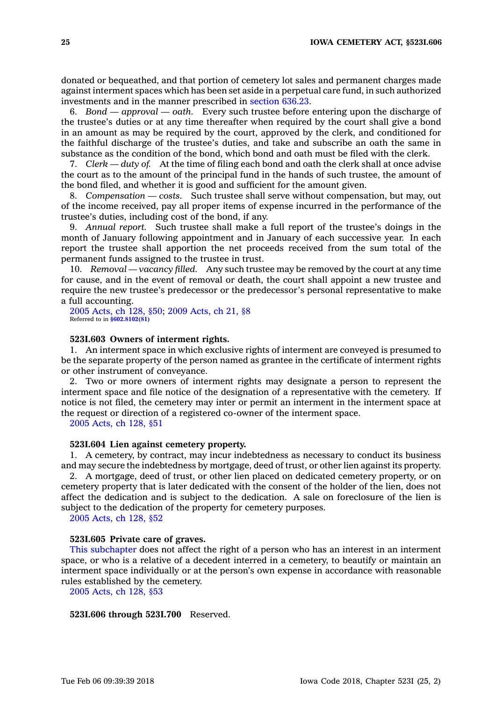donated or bequeathed, and that portion of cemetery lot sales and permanent charges made against interment spaces which has been set aside in <sup>a</sup> perpetual care fund, in such authorized investments and in the manner prescribed in [section](https://www.legis.iowa.gov/docs/code/636.23.pdf) 636.23.

6. *Bond — approval —oath.* Every such trustee before entering upon the discharge of the trustee's duties or at any time thereafter when required by the court shall give <sup>a</sup> bond in an amount as may be required by the court, approved by the clerk, and conditioned for the faithful discharge of the trustee's duties, and take and subscribe an oath the same in substance as the condition of the bond, which bond and oath must be filed with the clerk.

7. *Clerk — duty of.* At the time of filing each bond and oath the clerk shall at once advise the court as to the amount of the principal fund in the hands of such trustee, the amount of the bond filed, and whether it is good and sufficient for the amount given.

8. *Compensation — costs.* Such trustee shall serve without compensation, but may, out of the income received, pay all proper items of expense incurred in the performance of the trustee's duties, including cost of the bond, if any.

9. *Annual report.* Such trustee shall make <sup>a</sup> full report of the trustee's doings in the month of January following appointment and in January of each successive year. In each report the trustee shall apportion the net proceeds received from the sum total of the permanent funds assigned to the trustee in trust.

10. *Removal — vacancy filled.* Any such trustee may be removed by the court at any time for cause, and in the event of removal or death, the court shall appoint <sup>a</sup> new trustee and require the new trustee's predecessor or the predecessor's personal representative to make <sup>a</sup> full accounting.

2005 [Acts,](https://www.legis.iowa.gov/docs/acts/2005/CH0128.pdf) ch 128, §50; 2009 [Acts,](https://www.legis.iowa.gov/docs/acts/2009/CH0021.pdf) ch 21, §8 Referred to in **[§602.8102\(81\)](https://www.legis.iowa.gov/docs/code/602.8102.pdf)**

# **523I.603 Owners of interment rights.**

1. An interment space in which exclusive rights of interment are conveyed is presumed to be the separate property of the person named as grantee in the certificate of interment rights or other instrument of conveyance.

2. Two or more owners of interment rights may designate <sup>a</sup> person to represent the interment space and file notice of the designation of <sup>a</sup> representative with the cemetery. If notice is not filed, the cemetery may inter or permit an interment in the interment space at the request or direction of <sup>a</sup> registered co-owner of the interment space.

2005 [Acts,](https://www.legis.iowa.gov/docs/acts/2005/CH0128.pdf) ch 128, §51

#### **523I.604 Lien against cemetery property.**

1. A cemetery, by contract, may incur indebtedness as necessary to conduct its business and may secure the indebtedness by mortgage, deed of trust, or other lien against its property.

2. A mortgage, deed of trust, or other lien placed on dedicated cemetery property, or on cemetery property that is later dedicated with the consent of the holder of the lien, does not affect the dedication and is subject to the dedication. A sale on foreclosure of the lien is subject to the dedication of the property for cemetery purposes.

2005 [Acts,](https://www.legis.iowa.gov/docs/acts/2005/CH0128.pdf) ch 128, §52

#### **523I.605 Private care of graves.**

This [subchapter](https://www.legis.iowa.gov/docs/code//523I.pdf) does not affect the right of <sup>a</sup> person who has an interest in an interment space, or who is <sup>a</sup> relative of <sup>a</sup> decedent interred in <sup>a</sup> cemetery, to beautify or maintain an interment space individually or at the person's own expense in accordance with reasonable rules established by the cemetery.

2005 [Acts,](https://www.legis.iowa.gov/docs/acts/2005/CH0128.pdf) ch 128, §53

**523I.606 through 523I.700** Reserved.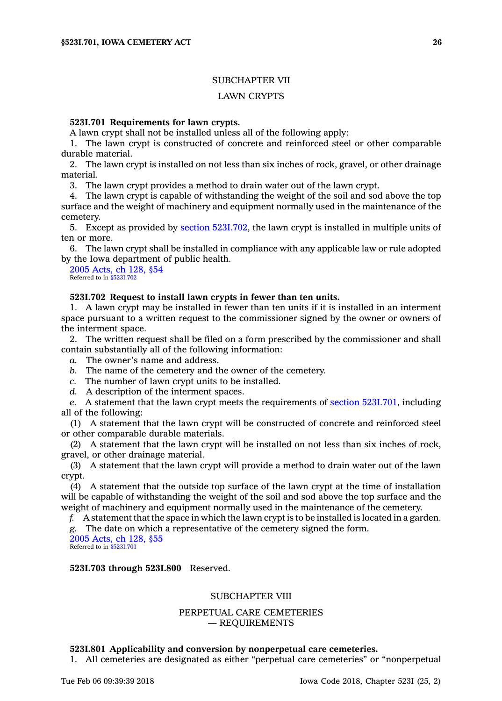## SUBCHAPTER VII

## LAWN CRYPTS

#### **523I.701 Requirements for lawn crypts.**

A lawn crypt shall not be installed unless all of the following apply:

1. The lawn crypt is constructed of concrete and reinforced steel or other comparable durable material.

2. The lawn crypt is installed on not less than six inches of rock, gravel, or other drainage material.

3. The lawn crypt provides <sup>a</sup> method to drain water out of the lawn crypt.

4. The lawn crypt is capable of withstanding the weight of the soil and sod above the top surface and the weight of machinery and equipment normally used in the maintenance of the cemetery.

5. Except as provided by section [523I.702](https://www.legis.iowa.gov/docs/code/523I.702.pdf), the lawn crypt is installed in multiple units of ten or more.

6. The lawn crypt shall be installed in compliance with any applicable law or rule adopted by the Iowa department of public health.

2005 [Acts,](https://www.legis.iowa.gov/docs/acts/2005/CH0128.pdf) ch 128, §54 Referred to in [§523I.702](https://www.legis.iowa.gov/docs/code/523I.702.pdf)

## **523I.702 Request to install lawn crypts in fewer than ten units.**

1. A lawn crypt may be installed in fewer than ten units if it is installed in an interment space pursuant to <sup>a</sup> written request to the commissioner signed by the owner or owners of the interment space.

2. The written request shall be filed on <sup>a</sup> form prescribed by the commissioner and shall contain substantially all of the following information:

*a.* The owner's name and address.

- *b.* The name of the cemetery and the owner of the cemetery.
- *c.* The number of lawn crypt units to be installed.
- *d.* A description of the interment spaces.

*e.* A statement that the lawn crypt meets the requirements of section [523I.701](https://www.legis.iowa.gov/docs/code/523I.701.pdf), including all of the following:

(1) A statement that the lawn crypt will be constructed of concrete and reinforced steel or other comparable durable materials.

(2) A statement that the lawn crypt will be installed on not less than six inches of rock, gravel, or other drainage material.

(3) A statement that the lawn crypt will provide <sup>a</sup> method to drain water out of the lawn crypt.

(4) A statement that the outside top surface of the lawn crypt at the time of installation will be capable of withstanding the weight of the soil and sod above the top surface and the weight of machinery and equipment normally used in the maintenance of the cemetery.

*f.* A statement that the space in which the lawn crypt is to be installed is located in <sup>a</sup> garden. *g.* The date on which <sup>a</sup> representative of the cemetery signed the form. 2005 [Acts,](https://www.legis.iowa.gov/docs/acts/2005/CH0128.pdf) ch 128, §55

Referred to in [§523I.701](https://www.legis.iowa.gov/docs/code/523I.701.pdf)

#### **523I.703 through 523I.800** Reserved.

## SUBCHAPTER VIII

# PERPETUAL CARE CEMETERIES — REQUIREMENTS

#### **523I.801 Applicability and conversion by nonperpetual care cemeteries.**

1. All cemeteries are designated as either "perpetual care cemeteries" or "nonperpetual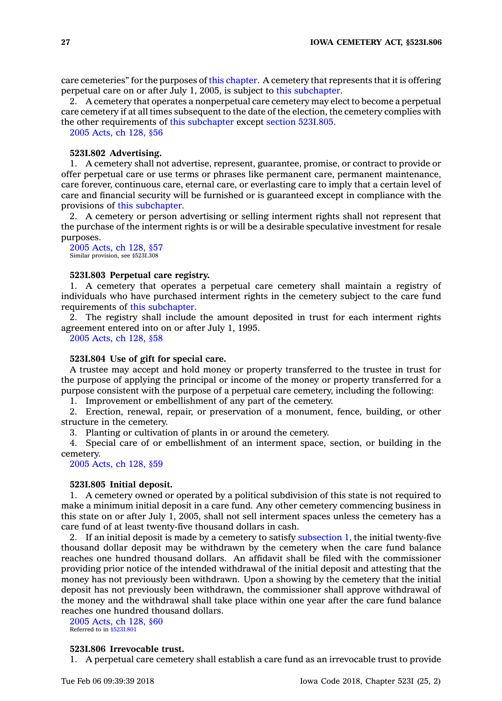care cemeteries" for the purposes of this [chapter](https://www.legis.iowa.gov/docs/code//523I.pdf). A cemetery that represents that it is offering perpetual care on or after July 1, 2005, is subject to this [subchapter](https://www.legis.iowa.gov/docs/code//523I.pdf).

2. A cemetery that operates <sup>a</sup> nonperpetual care cemetery may elect to become <sup>a</sup> perpetual care cemetery if at all times subsequent to the date of the election, the cemetery complies with the other requirements of this [subchapter](https://www.legis.iowa.gov/docs/code//523I.pdf) except section [523I.805](https://www.legis.iowa.gov/docs/code/523I.805.pdf).

2005 [Acts,](https://www.legis.iowa.gov/docs/acts/2005/CH0128.pdf) ch 128, §56

#### **523I.802 Advertising.**

1. A cemetery shall not advertise, represent, guarantee, promise, or contract to provide or offer perpetual care or use terms or phrases like permanent care, permanent maintenance, care forever, continuous care, eternal care, or everlasting care to imply that <sup>a</sup> certain level of care and financial security will be furnished or is guaranteed except in compliance with the provisions of this [subchapter](https://www.legis.iowa.gov/docs/code//523I.pdf).

2. A cemetery or person advertising or selling interment rights shall not represent that the purchase of the interment rights is or will be <sup>a</sup> desirable speculative investment for resale purposes.

2005 [Acts,](https://www.legis.iowa.gov/docs/acts/2005/CH0128.pdf) ch 128, §57 Similar provision, see §523I.308

## **523I.803 Perpetual care registry.**

1. A cemetery that operates <sup>a</sup> perpetual care cemetery shall maintain <sup>a</sup> registry of individuals who have purchased interment rights in the cemetery subject to the care fund requirements of this [subchapter](https://www.legis.iowa.gov/docs/code//523I.pdf).

2. The registry shall include the amount deposited in trust for each interment rights agreement entered into on or after July 1, 1995.

2005 [Acts,](https://www.legis.iowa.gov/docs/acts/2005/CH0128.pdf) ch 128, §58

#### **523I.804 Use of gift for special care.**

A trustee may accept and hold money or property transferred to the trustee in trust for the purpose of applying the principal or income of the money or property transferred for <sup>a</sup> purpose consistent with the purpose of <sup>a</sup> perpetual care cemetery, including the following:

1. Improvement or embellishment of any part of the cemetery.

2. Erection, renewal, repair, or preservation of <sup>a</sup> monument, fence, building, or other structure in the cemetery.

3. Planting or cultivation of plants in or around the cemetery.

4. Special care of or embellishment of an interment space, section, or building in the cemetery.

2005 [Acts,](https://www.legis.iowa.gov/docs/acts/2005/CH0128.pdf) ch 128, §59

#### **523I.805 Initial deposit.**

1. A cemetery owned or operated by <sup>a</sup> political subdivision of this state is not required to make <sup>a</sup> minimum initial deposit in <sup>a</sup> care fund. Any other cemetery commencing business in this state on or after July 1, 2005, shall not sell interment spaces unless the cemetery has <sup>a</sup> care fund of at least twenty-five thousand dollars in cash.

2. If an initial deposit is made by <sup>a</sup> cemetery to satisfy [subsection](https://www.legis.iowa.gov/docs/code/523I.805.pdf) 1, the initial twenty-five thousand dollar deposit may be withdrawn by the cemetery when the care fund balance reaches one hundred thousand dollars. An affidavit shall be filed with the commissioner providing prior notice of the intended withdrawal of the initial deposit and attesting that the money has not previously been withdrawn. Upon <sup>a</sup> showing by the cemetery that the initial deposit has not previously been withdrawn, the commissioner shall approve withdrawal of the money and the withdrawal shall take place within one year after the care fund balance reaches one hundred thousand dollars.

2005 [Acts,](https://www.legis.iowa.gov/docs/acts/2005/CH0128.pdf) ch 128, §60 Referred to in [§523I.801](https://www.legis.iowa.gov/docs/code/523I.801.pdf)

#### **523I.806 Irrevocable trust.**

1. A perpetual care cemetery shall establish <sup>a</sup> care fund as an irrevocable trust to provide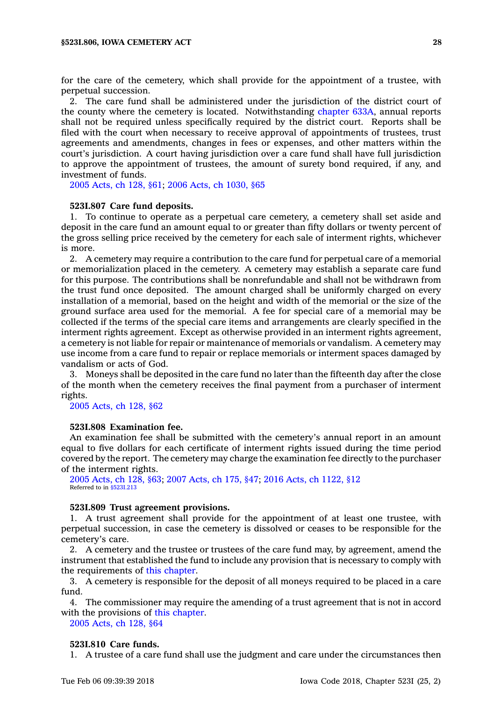for the care of the cemetery, which shall provide for the appointment of <sup>a</sup> trustee, with perpetual succession.

2. The care fund shall be administered under the jurisdiction of the district court of the county where the cemetery is located. Notwithstanding [chapter](https://www.legis.iowa.gov/docs/code//633A.pdf) 633A, annual reports shall not be required unless specifically required by the district court. Reports shall be filed with the court when necessary to receive approval of appointments of trustees, trust agreements and amendments, changes in fees or expenses, and other matters within the court's jurisdiction. A court having jurisdiction over <sup>a</sup> care fund shall have full jurisdiction to approve the appointment of trustees, the amount of surety bond required, if any, and investment of funds.

2005 [Acts,](https://www.legis.iowa.gov/docs/acts/2005/CH0128.pdf) ch 128, §61; 2006 Acts, ch [1030,](https://www.legis.iowa.gov/docs/acts/2006/CH1030.pdf) §65

#### **523I.807 Care fund deposits.**

1. To continue to operate as <sup>a</sup> perpetual care cemetery, <sup>a</sup> cemetery shall set aside and deposit in the care fund an amount equal to or greater than fifty dollars or twenty percent of the gross selling price received by the cemetery for each sale of interment rights, whichever is more.

2. A cemetery may require <sup>a</sup> contribution to the care fund for perpetual care of <sup>a</sup> memorial or memorialization placed in the cemetery. A cemetery may establish <sup>a</sup> separate care fund for this purpose. The contributions shall be nonrefundable and shall not be withdrawn from the trust fund once deposited. The amount charged shall be uniformly charged on every installation of <sup>a</sup> memorial, based on the height and width of the memorial or the size of the ground surface area used for the memorial. A fee for special care of <sup>a</sup> memorial may be collected if the terms of the special care items and arrangements are clearly specified in the interment rights agreement. Except as otherwise provided in an interment rights agreement, <sup>a</sup> cemetery is not liable for repair or maintenance of memorials or vandalism. A cemetery may use income from <sup>a</sup> care fund to repair or replace memorials or interment spaces damaged by vandalism or acts of God.

3. Moneys shall be deposited in the care fund no later than the fifteenth day after the close of the month when the cemetery receives the final payment from <sup>a</sup> purchaser of interment rights.

2005 [Acts,](https://www.legis.iowa.gov/docs/acts/2005/CH0128.pdf) ch 128, §62

#### **523I.808 Examination fee.**

An examination fee shall be submitted with the cemetery's annual report in an amount equal to five dollars for each certificate of interment rights issued during the time period covered by the report. The cemetery may charge the examination fee directly to the purchaser of the interment rights.

2005 [Acts,](https://www.legis.iowa.gov/docs/acts/2005/CH0128.pdf) ch 128, §63; 2007 [Acts,](https://www.legis.iowa.gov/docs/acts/2007/CH0175.pdf) ch 175, §47; 2016 Acts, ch [1122,](https://www.legis.iowa.gov/docs/acts/2016/CH1122.pdf) §12 Referred to in [§523I.213](https://www.legis.iowa.gov/docs/code/523I.213.pdf)

#### **523I.809 Trust agreement provisions.**

1. A trust agreement shall provide for the appointment of at least one trustee, with perpetual succession, in case the cemetery is dissolved or ceases to be responsible for the cemetery's care.

2. A cemetery and the trustee or trustees of the care fund may, by agreement, amend the instrument that established the fund to include any provision that is necessary to comply with the requirements of this [chapter](https://www.legis.iowa.gov/docs/code//523I.pdf).

3. A cemetery is responsible for the deposit of all moneys required to be placed in <sup>a</sup> care fund.

4. The commissioner may require the amending of <sup>a</sup> trust agreement that is not in accord with the provisions of this [chapter](https://www.legis.iowa.gov/docs/code//523I.pdf).

2005 [Acts,](https://www.legis.iowa.gov/docs/acts/2005/CH0128.pdf) ch 128, §64

#### **523I.810 Care funds.**

1. A trustee of <sup>a</sup> care fund shall use the judgment and care under the circumstances then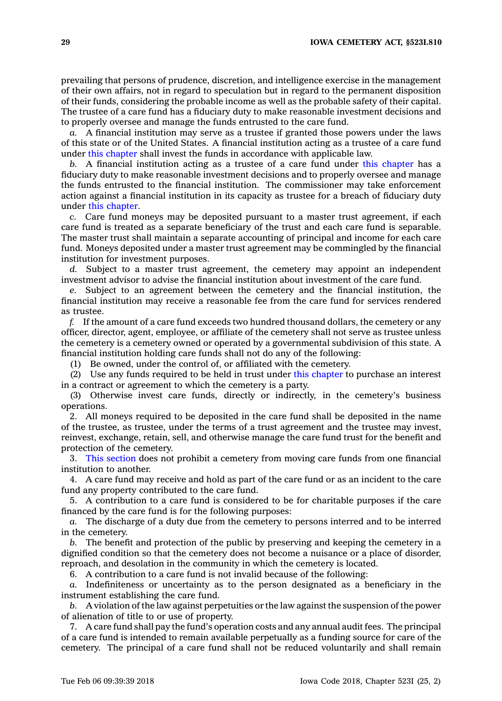prevailing that persons of prudence, discretion, and intelligence exercise in the management of their own affairs, not in regard to speculation but in regard to the permanent disposition of their funds, considering the probable income as well as the probable safety of their capital. The trustee of <sup>a</sup> care fund has <sup>a</sup> fiduciary duty to make reasonable investment decisions and to properly oversee and manage the funds entrusted to the care fund.

*a.* A financial institution may serve as <sup>a</sup> trustee if granted those powers under the laws of this state or of the United States. A financial institution acting as <sup>a</sup> trustee of <sup>a</sup> care fund under this [chapter](https://www.legis.iowa.gov/docs/code//523I.pdf) shall invest the funds in accordance with applicable law.

*b.* A financial institution acting as <sup>a</sup> trustee of <sup>a</sup> care fund under this [chapter](https://www.legis.iowa.gov/docs/code//523I.pdf) has <sup>a</sup> fiduciary duty to make reasonable investment decisions and to properly oversee and manage the funds entrusted to the financial institution. The commissioner may take enforcement action against <sup>a</sup> financial institution in its capacity as trustee for <sup>a</sup> breach of fiduciary duty under this [chapter](https://www.legis.iowa.gov/docs/code//523I.pdf).

*c.* Care fund moneys may be deposited pursuant to <sup>a</sup> master trust agreement, if each care fund is treated as <sup>a</sup> separate beneficiary of the trust and each care fund is separable. The master trust shall maintain <sup>a</sup> separate accounting of principal and income for each care fund. Moneys deposited under <sup>a</sup> master trust agreement may be commingled by the financial institution for investment purposes.

*d.* Subject to <sup>a</sup> master trust agreement, the cemetery may appoint an independent investment advisor to advise the financial institution about investment of the care fund.

*e.* Subject to an agreement between the cemetery and the financial institution, the financial institution may receive <sup>a</sup> reasonable fee from the care fund for services rendered as trustee.

*f.* If the amount of <sup>a</sup> care fund exceeds two hundred thousand dollars, the cemetery or any officer, director, agent, employee, or affiliate of the cemetery shall not serve as trustee unless the cemetery is <sup>a</sup> cemetery owned or operated by <sup>a</sup> governmental subdivision of this state. A financial institution holding care funds shall not do any of the following:

(1) Be owned, under the control of, or affiliated with the cemetery.

(2) Use any funds required to be held in trust under this [chapter](https://www.legis.iowa.gov/docs/code//523I.pdf) to purchase an interest in <sup>a</sup> contract or agreement to which the cemetery is <sup>a</sup> party.

(3) Otherwise invest care funds, directly or indirectly, in the cemetery's business operations.

2. All moneys required to be deposited in the care fund shall be deposited in the name of the trustee, as trustee, under the terms of <sup>a</sup> trust agreement and the trustee may invest, reinvest, exchange, retain, sell, and otherwise manage the care fund trust for the benefit and protection of the cemetery.

3. This [section](https://www.legis.iowa.gov/docs/code/523I.810.pdf) does not prohibit <sup>a</sup> cemetery from moving care funds from one financial institution to another.

4. A care fund may receive and hold as part of the care fund or as an incident to the care fund any property contributed to the care fund.

5. A contribution to <sup>a</sup> care fund is considered to be for charitable purposes if the care financed by the care fund is for the following purposes:

*a.* The discharge of <sup>a</sup> duty due from the cemetery to persons interred and to be interred in the cemetery.

*b.* The benefit and protection of the public by preserving and keeping the cemetery in <sup>a</sup> dignified condition so that the cemetery does not become <sup>a</sup> nuisance or <sup>a</sup> place of disorder, reproach, and desolation in the community in which the cemetery is located.

6. A contribution to <sup>a</sup> care fund is not invalid because of the following:

*a.* Indefiniteness or uncertainty as to the person designated as <sup>a</sup> beneficiary in the instrument establishing the care fund.

*b.* A violation of the law against perpetuities or the law against the suspension of the power of alienation of title to or use of property.

7. A care fund shall pay the fund's operation costs and any annual audit fees. The principal of <sup>a</sup> care fund is intended to remain available perpetually as <sup>a</sup> funding source for care of the cemetery. The principal of <sup>a</sup> care fund shall not be reduced voluntarily and shall remain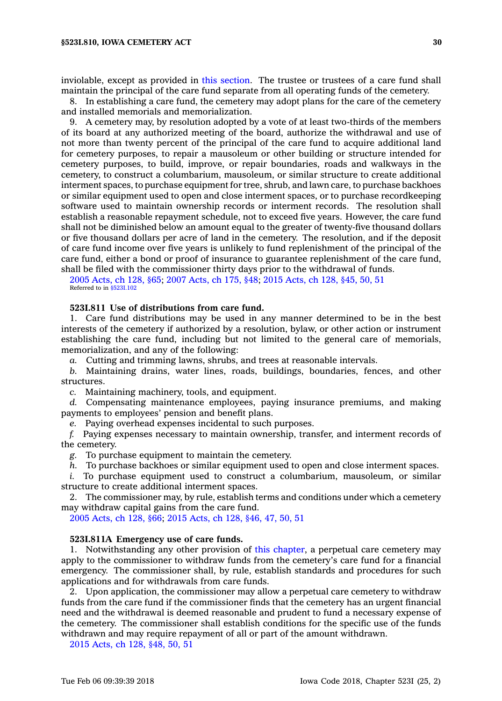inviolable, except as provided in this [section](https://www.legis.iowa.gov/docs/code/523I.810.pdf). The trustee or trustees of <sup>a</sup> care fund shall maintain the principal of the care fund separate from all operating funds of the cemetery.

8. In establishing <sup>a</sup> care fund, the cemetery may adopt plans for the care of the cemetery and installed memorials and memorialization.

9. A cemetery may, by resolution adopted by <sup>a</sup> vote of at least two-thirds of the members of its board at any authorized meeting of the board, authorize the withdrawal and use of not more than twenty percent of the principal of the care fund to acquire additional land for cemetery purposes, to repair <sup>a</sup> mausoleum or other building or structure intended for cemetery purposes, to build, improve, or repair boundaries, roads and walkways in the cemetery, to construct <sup>a</sup> columbarium, mausoleum, or similar structure to create additional interment spaces, to purchase equipment for tree, shrub, and lawn care, to purchase backhoes or similar equipment used to open and close interment spaces, or to purchase recordkeeping software used to maintain ownership records or interment records. The resolution shall establish <sup>a</sup> reasonable repayment schedule, not to exceed five years. However, the care fund shall not be diminished below an amount equal to the greater of twenty-five thousand dollars or five thousand dollars per acre of land in the cemetery. The resolution, and if the deposit of care fund income over five years is unlikely to fund replenishment of the principal of the care fund, either <sup>a</sup> bond or proof of insurance to guarantee replenishment of the care fund, shall be filed with the commissioner thirty days prior to the withdrawal of funds.

2005 [Acts,](https://www.legis.iowa.gov/docs/acts/2005/CH0128.pdf) ch 128, §65; 2007 [Acts,](https://www.legis.iowa.gov/docs/acts/2007/CH0175.pdf) ch 175, §48; 2015 [Acts,](https://www.legis.iowa.gov/docs/acts/2015/CH0128.pdf) ch 128, §45, 50, 51 Referred to in [§523I.102](https://www.legis.iowa.gov/docs/code/523I.102.pdf)

#### **523I.811 Use of distributions from care fund.**

1. Care fund distributions may be used in any manner determined to be in the best interests of the cemetery if authorized by <sup>a</sup> resolution, bylaw, or other action or instrument establishing the care fund, including but not limited to the general care of memorials, memorialization, and any of the following:

*a.* Cutting and trimming lawns, shrubs, and trees at reasonable intervals.

*b.* Maintaining drains, water lines, roads, buildings, boundaries, fences, and other structures.

*c.* Maintaining machinery, tools, and equipment.

*d.* Compensating maintenance employees, paying insurance premiums, and making payments to employees' pension and benefit plans.

*e.* Paying overhead expenses incidental to such purposes.

*f.* Paying expenses necessary to maintain ownership, transfer, and interment records of the cemetery.

*g.* To purchase equipment to maintain the cemetery.

*h.* To purchase backhoes or similar equipment used to open and close interment spaces.

*i.* To purchase equipment used to construct <sup>a</sup> columbarium, mausoleum, or similar structure to create additional interment spaces.

2. The commissioner may, by rule, establish terms and conditions under which <sup>a</sup> cemetery may withdraw capital gains from the care fund.

2005 [Acts,](https://www.legis.iowa.gov/docs/acts/2005/CH0128.pdf) ch 128, §66; 2015 [Acts,](https://www.legis.iowa.gov/docs/acts/2015/CH0128.pdf) ch 128, §46, 47, 50, 51

#### **523I.811A Emergency use of care funds.**

1. Notwithstanding any other provision of this [chapter](https://www.legis.iowa.gov/docs/code//523I.pdf), <sup>a</sup> perpetual care cemetery may apply to the commissioner to withdraw funds from the cemetery's care fund for <sup>a</sup> financial emergency. The commissioner shall, by rule, establish standards and procedures for such applications and for withdrawals from care funds.

2. Upon application, the commissioner may allow <sup>a</sup> perpetual care cemetery to withdraw funds from the care fund if the commissioner finds that the cemetery has an urgent financial need and the withdrawal is deemed reasonable and prudent to fund <sup>a</sup> necessary expense of the cemetery. The commissioner shall establish conditions for the specific use of the funds withdrawn and may require repayment of all or part of the amount withdrawn.

2015 [Acts,](https://www.legis.iowa.gov/docs/acts/2015/CH0128.pdf) ch 128, §48, 50, 51